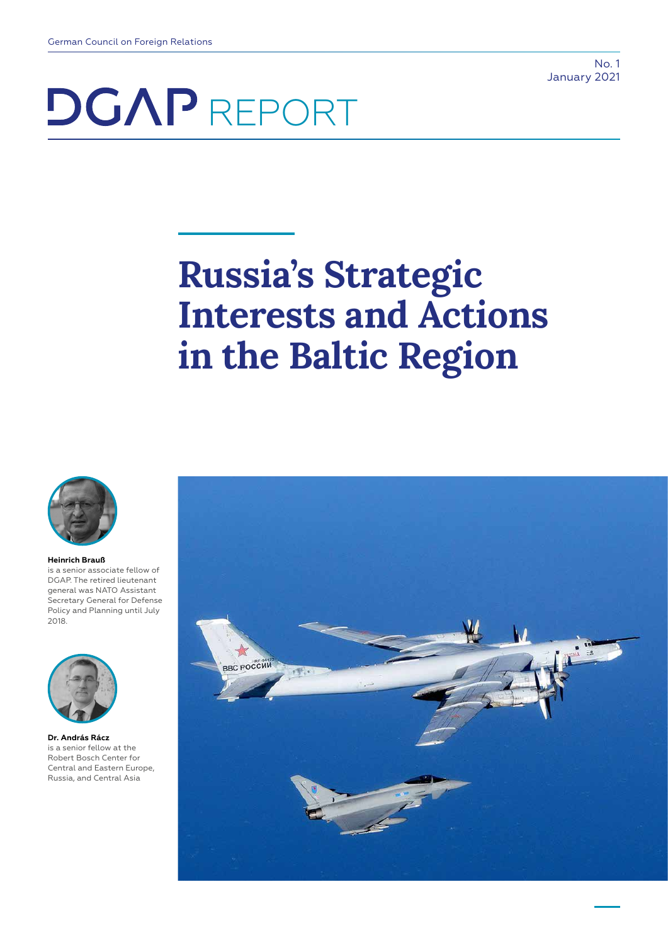No. 1 January 2021

# **DGAP** REPORT

## **Russia's Strategic Interests and Actions in the Baltic Region**



#### **Heinrich Brauß**

is a senior associate fellow of DGAP. The retired lieutenant general was NATO Assistant Secretary General for Defense Policy and Planning until July 2018.



**Dr. András Rácz** is a senior fellow at the Robert Bosch Center for Central and Eastern Europe, Russia, and Central Asia

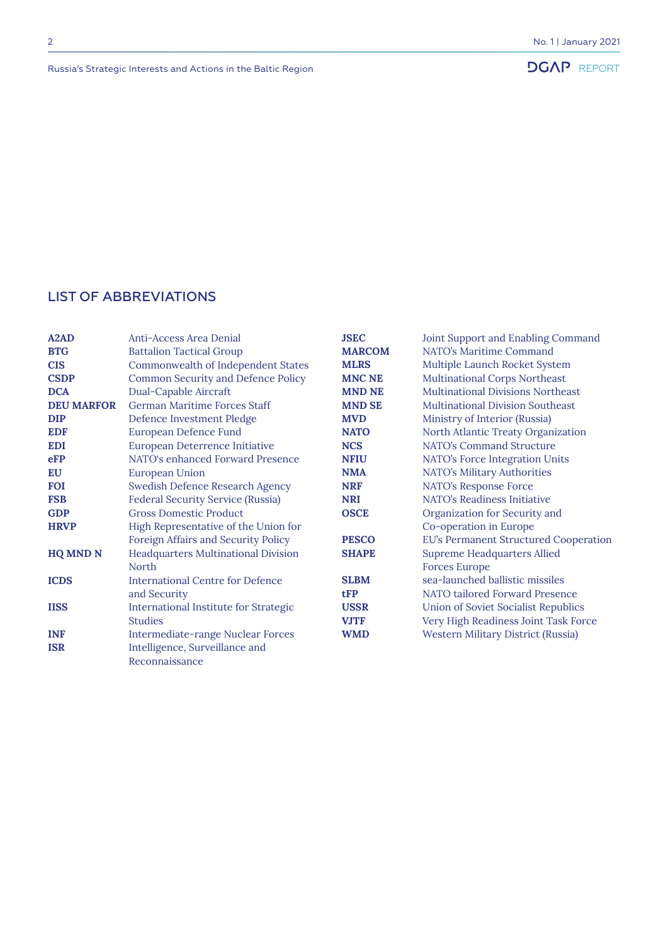## LIST OF ABBREVIATIONS

| A <sub>2</sub> A <sub>D</sub> | Anti-Access Area Denial                   | <b>JSEC</b>   | Joint Support and Enabling Command       |
|-------------------------------|-------------------------------------------|---------------|------------------------------------------|
| <b>BTG</b>                    | <b>Battalion Tactical Group</b>           | <b>MARCOM</b> | NATO's Maritime Command                  |
| <b>CIS</b>                    | Commonwealth of Independent States        | <b>MLRS</b>   | Multiple Launch Rocket System            |
| <b>CSDP</b>                   | <b>Common Security and Defence Policy</b> | <b>MNC NE</b> | <b>Multinational Corps Northeast</b>     |
| <b>DCA</b>                    | Dual-Capable Aircraft                     | <b>MND NE</b> | <b>Multinational Divisions Northeast</b> |
| <b>DEU MARFOR</b>             | German Maritime Forces Staff              | <b>MND SE</b> | <b>Multinational Division Southeast</b>  |
| <b>DIP</b>                    | Defence Investment Pledge                 | <b>MVD</b>    | Ministry of Interior (Russia)            |
| <b>EDF</b>                    | European Defence Fund                     | <b>NATO</b>   | North Atlantic Treaty Organization       |
| <b>EDI</b>                    | European Deterrence Initiative            | <b>NCS</b>    | NATO's Command Structure                 |
| eFP                           | NATO's enhanced Forward Presence          | <b>NFIU</b>   | NATO's Force Integration Units           |
| EU                            | <b>European Union</b>                     | <b>NMA</b>    | NATO's Military Authorities              |
| <b>FOI</b>                    | Swedish Defence Research Agency           | <b>NRF</b>    | NATO's Response Force                    |
| <b>FSB</b>                    | <b>Federal Security Service (Russia)</b>  | <b>NRI</b>    | NATO's Readiness Initiative              |
| <b>GDP</b>                    | <b>Gross Domestic Product</b>             | <b>OSCE</b>   | Organization for Security and            |
| <b>HRVP</b>                   | High Representative of the Union for      |               | Co-operation in Europe                   |
|                               | Foreign Affairs and Security Policy       | <b>PESCO</b>  | EU's Permanent Structured Cooperation    |
| <b>HQ MND N</b>               | Headquarters Multinational Division       | <b>SHAPE</b>  | <b>Supreme Headquarters Allied</b>       |
|                               | <b>North</b>                              |               | <b>Forces Europe</b>                     |
| <b>ICDS</b>                   | <b>International Centre for Defence</b>   | <b>SLBM</b>   | sea-launched ballistic missiles          |
|                               | and Security                              | tFP           | NATO tailored Forward Presence           |
| <b>IISS</b>                   | International Institute for Strategic     | <b>USSR</b>   | Union of Soviet Socialist Republics      |
|                               | <b>Studies</b>                            | <b>VJTF</b>   | Very High Readiness Joint Task Force     |
| <b>INF</b>                    | Intermediate-range Nuclear Forces         | <b>WMD</b>    | Western Military District (Russia)       |
| <b>ISR</b>                    | Intelligence, Surveillance and            |               |                                          |
|                               | Reconnaissance                            |               |                                          |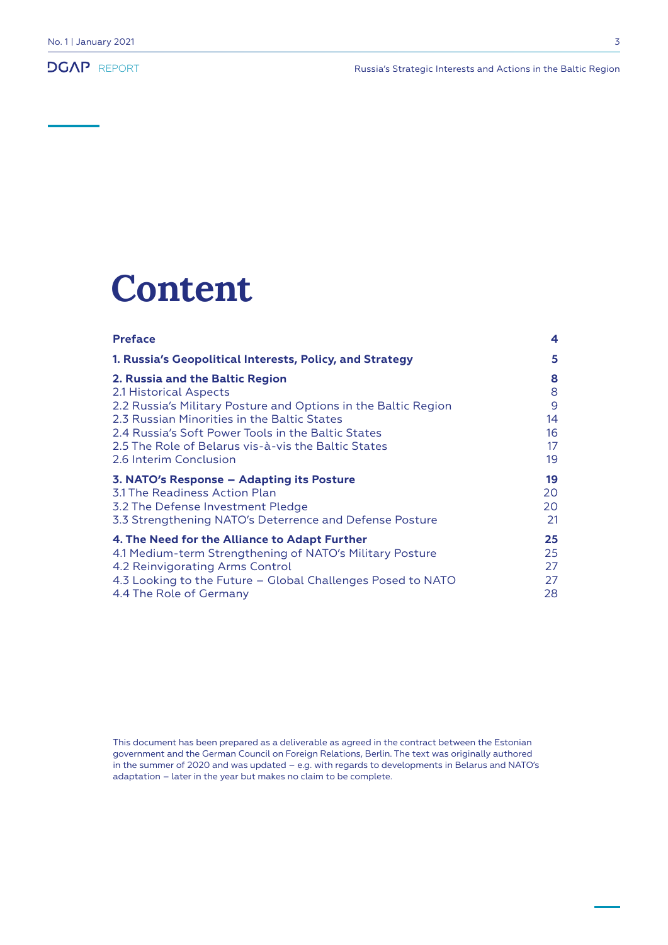## **Content**

| <b>Preface</b>                                                 | 4  |
|----------------------------------------------------------------|----|
| 1. Russia's Geopolitical Interests, Policy, and Strategy       | 5  |
| 2. Russia and the Baltic Region                                | 8  |
| 2.1 Historical Aspects                                         | 8  |
| 2.2 Russia's Military Posture and Options in the Baltic Region | 9  |
| 2.3 Russian Minorities in the Baltic States                    | 14 |
| 2.4 Russia's Soft Power Tools in the Baltic States             | 16 |
| 2.5 The Role of Belarus vis-à-vis the Baltic States            | 17 |
| 2.6 Interim Conclusion                                         | 19 |
| 3. NATO's Response – Adapting its Posture                      | 19 |
| 3.1 The Readiness Action Plan                                  | 20 |
| 3.2 The Defense Investment Pledge                              | 20 |
| 3.3 Strengthening NATO's Deterrence and Defense Posture        | 21 |
| 4. The Need for the Alliance to Adapt Further                  | 25 |
| 4.1 Medium-term Strengthening of NATO's Military Posture       | 25 |
| 4.2 Reinvigorating Arms Control                                | 27 |
| 4.3 Looking to the Future - Global Challenges Posed to NATO    | 27 |
| 4.4 The Role of Germany                                        | 28 |

This document has been prepared as a deliverable as agreed in the contract between the Estonian government and the German Council on Foreign Relations, Berlin. The text was originally authored in the summer of 2020 and was updated - e.g. with regards to developments in Belarus and NATO's adaptation – later in the year but makes no claim to be complete.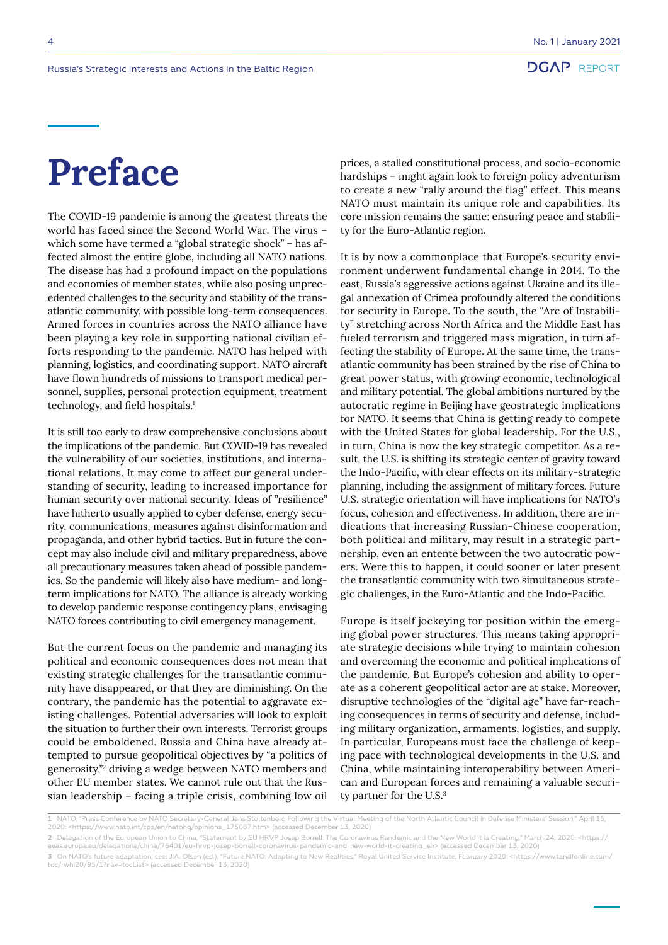## **Preface**

The COVID-19 pandemic is among the greatest threats the world has faced since the Second World War. The virus – which some have termed a "global strategic shock" – has affected almost the entire globe, including all NATO nations. The disease has had a profound impact on the populations and economies of member states, while also posing unprecedented challenges to the security and stability of the transatlantic community, with possible long-term consequences. Armed forces in countries across the NATO alliance have been playing a key role in supporting national civilian efforts responding to the pandemic. NATO has helped with planning, logistics, and coordinating support. NATO aircraft have flown hundreds of missions to transport medical personnel, supplies, personal protection equipment, treatment technology, and field hospitals.<sup>1</sup>

It is still too early to draw comprehensive conclusions about the implications of the pandemic. But COVID-19 has revealed the vulnerability of our societies, institutions, and international relations. It may come to affect our general understanding of security, leading to increased importance for human security over national security. Ideas of "resilience" have hitherto usually applied to cyber defense, energy security, communications, measures against disinformation and propaganda, and other hybrid tactics. But in future the concept may also include civil and military preparedness, above all precautionary measures taken ahead of possible pandemics. So the pandemic will likely also have medium- and longterm implications for NATO. The alliance is already working to develop pandemic response contingency plans, envisaging NATO forces contributing to civil emergency management.

But the current focus on the pandemic and managing its political and economic consequences does not mean that existing strategic challenges for the transatlantic community have disappeared, or that they are diminishing. On the contrary, the pandemic has the potential to aggravate existing challenges. Potential adversaries will look to exploit the situation to further their own interests. Terrorist groups could be emboldened. Russia and China have already attempted to pursue geopolitical objectives by "a politics of generosity,"2 driving a wedge between NATO members and other EU member states. We cannot rule out that the Russian leadership – facing a triple crisis, combining low oil

prices, a stalled constitutional process, and socio-economic hardships – might again look to foreign policy adventurism to create a new "rally around the flag" effect. This means NATO must maintain its unique role and capabilities. Its core mission remains the same: ensuring peace and stability for the Euro-Atlantic region.

It is by now a commonplace that Europe's security environment underwent fundamental change in 2014. To the east, Russia's aggressive actions against Ukraine and its illegal annexation of Crimea profoundly altered the conditions for security in Europe. To the south, the "Arc of Instability" stretching across North Africa and the Middle East has fueled terrorism and triggered mass migration, in turn affecting the stability of Europe. At the same time, the transatlantic community has been strained by the rise of China to great power status, with growing economic, technological and military potential. The global ambitions nurtured by the autocratic regime in Beijing have geostrategic implications for NATO. It seems that China is getting ready to compete with the United States for global leadership. For the U.S., in turn, China is now the key strategic competitor. As a result, the U.S. is shifting its strategic center of gravity toward the Indo-Pacific, with clear effects on its military-strategic planning, including the assignment of military forces. Future U.S. strategic orientation will have implications for NATO's focus, cohesion and effectiveness. In addition, there are indications that increasing Russian-Chinese cooperation, both political and military, may result in a strategic partnership, even an entente between the two autocratic powers. Were this to happen, it could sooner or later present the transatlantic community with two simultaneous strategic challenges, in the Euro-Atlantic and the Indo-Pacific.

Europe is itself jockeying for position within the emerging global power structures. This means taking appropriate strategic decisions while trying to maintain cohesion and overcoming the economic and political implications of the pandemic. But Europe's cohesion and ability to operate as a coherent geopolitical actor are at stake. Moreover, disruptive technologies of the "digital age" have far-reaching consequences in terms of security and defense, including military organization, armaments, logistics, and supply. In particular, Europeans must face the challenge of keeping pace with technological developments in the U.S. and China, while maintaining interoperability between American and European forces and remaining a valuable security partner for the U.S.<sup>3</sup>

<sup>1</sup> NATO, "Press Conference by NATO Secretary-General Jens Stoltenberg Following the Virtual Meeting of the North Atlantic Council in Defense Ministers′ Session," April 15,<br>2020: <https://www.nato.int/cps/en/natohq/opinio

**<sup>2</sup>** Delegation of the European Union to China, "Statement by EU HRVP Josep Borrell: The Coronavirus Pandemic and the New World It Is Creating," March 24, 2020: <https:// eeas.europa.eu/delegations/china/76401/eu-hrvp-josep-borrell-coronavirus-pandemic-and-new-world-it-creating\_en> (accessed December 13, 2020)

**<sup>3</sup>** On NATO's future adaptation, see: J.A. Olsen (ed.), "Future NATO: Adapting to New Realities," Royal United Service Institute, February 2020: <https://www.tandfonline.com/ toc/rwhi20/95/1?nav=tocList> (accessed December 13, 2020)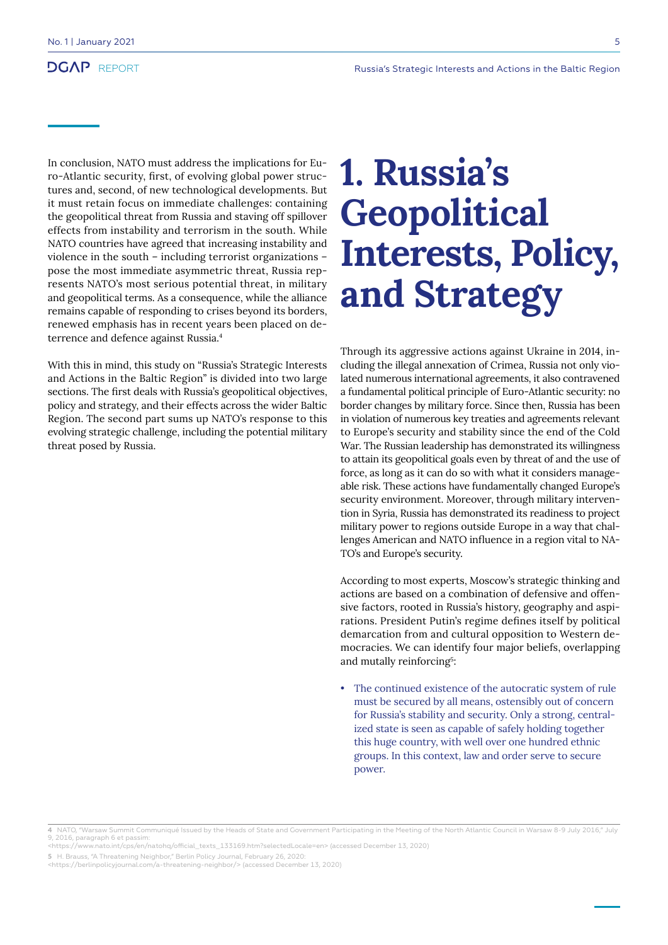In conclusion, NATO must address the implications for Euro-Atlantic security, first, of evolving global power structures and, second, of new technological developments. But it must retain focus on immediate challenges: containing the geopolitical threat from Russia and staving off spillover effects from instability and terrorism in the south. While NATO countries have agreed that increasing instability and violence in the south – including terrorist organizations – pose the most immediate asymmetric threat, Russia represents NATO's most serious potential threat, in military and geopolitical terms. As a consequence, while the alliance remains capable of responding to crises beyond its borders, renewed emphasis has in recent years been placed on deterrence and defence against Russia.4

With this in mind, this study on "Russia's Strategic Interests and Actions in the Baltic Region" is divided into two large sections. The first deals with Russia's geopolitical objectives, policy and strategy, and their effects across the wider Baltic Region. The second part sums up NATO's response to this evolving strategic challenge, including the potential military threat posed by Russia.

## **1. Russia's Geopolitical Interests, Policy, and Strategy**

Through its aggressive actions against Ukraine in 2014, including the illegal annexation of Crimea, Russia not only violated numerous international agreements, it also contravened a fundamental political principle of Euro-Atlantic security: no border changes by military force. Since then, Russia has been in violation of numerous key treaties and agreements relevant to Europe's security and stability since the end of the Cold War. The Russian leadership has demonstrated its willingness to attain its geopolitical goals even by threat of and the use of force, as long as it can do so with what it considers manageable risk. These actions have fundamentally changed Europe's security environment. Moreover, through military intervention in Syria, Russia has demonstrated its readiness to project military power to regions outside Europe in a way that challenges American and NATO influence in a region vital to NA-TO's and Europe's security.

According to most experts, Moscow's strategic thinking and actions are based on a combination of defensive and offensive factors, rooted in Russia's history, geography and aspirations. President Putin's regime defines itself by political demarcation from and cultural opposition to Western democracies. We can identify four major beliefs, overlapping and mutally reinforcing<sup>5</sup>:

• The continued existence of the autocratic system of rule must be secured by all means, ostensibly out of concern for Russia's stability and security. Only a strong, centralized state is seen as capable of safely holding together this huge country, with well over one hundred ethnic groups. In this context, law and order serve to secure power.

**<sup>4</sup>** NATO, "Warsaw Summit Communiqué Issued by the Heads of State and Government Participating in the Meeting of the North Atlantic Council in Warsaw 8-9 July 2016," July 9, 2016, paragraph 6 et passim:

<sup>&</sup>lt;https://www.nato.int/cps/en/natohq/official\_texts\_133169.htm?selectedLocale=en> (accessed December 13, 2020)

**<sup>5</sup>** H. Brauss, "A Threatening Neighbor," Berlin Policy Journal, February 26, 2020: <https://berlinpolicyjournal.com/a-threatening-neighbor/> (accessed December 13, 2020)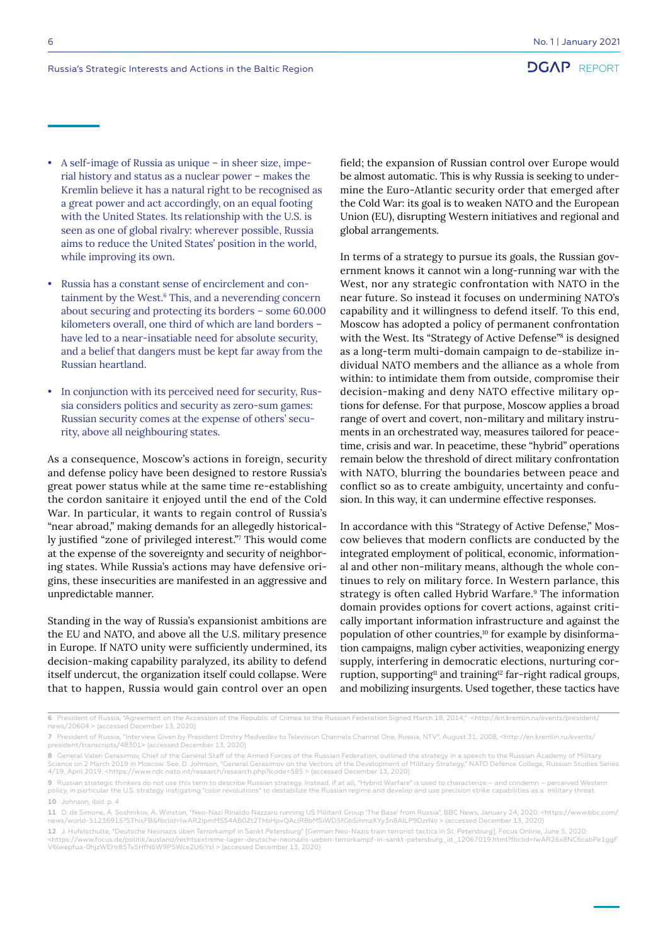• A self-image of Russia as unique – in sheer size, imperial history and status as a nuclear power – makes the Kremlin believe it has a natural right to be recognised as a great power and act accordingly, on an equal footing with the United States. Its relationship with the U.S. is seen as one of global rivalry: wherever possible, Russia aims to reduce the United States' position in the world, while improving its own.

• Russia has a constant sense of encirclement and containment by the West.<sup>6</sup> This, and a neverending concern about securing and protecting its borders – some 60.000 kilometers overall, one third of which are land borders – have led to a near-insatiable need for absolute security, and a belief that dangers must be kept far away from the Russian heartland.

In conjunction with its perceived need for security, Russia considers politics and security as zero-sum games: Russian security comes at the expense of others' security, above all neighbouring states.

As a consequence, Moscow's actions in foreign, security and defense policy have been designed to restore Russia's great power status while at the same time re-establishing the cordon sanitaire it enjoyed until the end of the Cold War. In particular, it wants to regain control of Russia's "near abroad," making demands for an allegedly historically justified "zone of privileged interest."<sup>7</sup> This would come at the expense of the sovereignty and security of neighboring states. While Russia's actions may have defensive origins, these insecurities are manifested in an aggressive and unpredictable manner.

Standing in the way of Russia's expansionist ambitions are the EU and NATO, and above all the U.S. military presence in Europe. If NATO unity were sufficiently undermined, its decision-making capability paralyzed, its ability to defend itself undercut, the organization itself could collapse. Were that to happen, Russia would gain control over an open

field; the expansion of Russian control over Europe would be almost automatic. This is why Russia is seeking to undermine the Euro-Atlantic security order that emerged after the Cold War: its goal is to weaken NATO and the European Union (EU), disrupting Western initiatives and regional and global arrangements.

In terms of a strategy to pursue its goals, the Russian government knows it cannot win a long-running war with the West, nor any strategic confrontation with NATO in the near future. So instead it focuses on undermining NATO's capability and it willingness to defend itself. To this end, Moscow has adopted a policy of permanent confrontation with the West. Its "Strategy of Active Defense"<sup>8</sup> is designed as a long-term multi-domain campaign to de-stabilize individual NATO members and the alliance as a whole from within: to intimidate them from outside, compromise their decision-making and deny NATO effective military options for defense. For that purpose, Moscow applies a broad range of overt and covert, non-military and military instruments in an orchestrated way, measures tailored for peacetime, crisis and war. In peacetime, these "hybrid" operations remain below the threshold of direct military confrontation with NATO, blurring the boundaries between peace and conflict so as to create ambiguity, uncertainty and confusion. In this way, it can undermine effective responses.

In accordance with this "Strategy of Active Defense," Moscow believes that modern conflicts are conducted by the integrated employment of political, economic, informational and other non-military means, although the whole continues to rely on military force. In Western parlance, this strategy is often called Hybrid Warfare.<sup>9</sup> The information domain provides options for covert actions, against critically important information infrastructure and against the population of other countries,<sup>10</sup> for example by disinformation campaigns, malign cyber activities, weaponizing energy supply, interfering in democratic elections, nurturing corruption, supporting<sup>11</sup> and training<sup>12</sup> far-right radical groups, and mobilizing insurgents. Used together, these tactics have

**<sup>6</sup>** President of Russia, "Agreement on the Accession of the Republic of Crimea to the Russian Federation Signed March 18, 2014," <http://en.kremlin.ru/events/president/<br>news/20604 > (accessed December 13, 2020)

**<sup>7</sup>** President of Russia, "Interview Given by President Dmitry Medvedev to Television Channels Channel One, Rossia, NTV", August 31, 2008, <http://en.kremlin.ru/events/ president/transcripts/48301> (accessed December 13, 2020)

**<sup>8</sup>** General Valeri Gerasimov, Chief of the General Staff of the Armed Forces of the Russian Federation, outlined the strategy in a speech to the Russian Academy of Military Science on 2 March 2019 in Moscow. See, D. Johnson, "General Gerasimov on the Vectors of the Development of Military Strategy," NATO Defence College, Russian Studies Series 4/19, April 2019: <https://www.ndc.nato.int/research/research.php?icode=585 > (accessed December 13, 2020)

<sup>9</sup> Russian strategic thinkers do not use this term to describe Russian strategy. Instead, if at all, "Hybrid Warfare" is used to characterize – and condemn – perceived Western<br>policy, in particular the U.S. strategy instig 10 Johnson, ibid. p. 4

**<sup>11</sup>** D. de Simone, A. Soshnikov, A. Winston, "Neo-Nazi Rinaldo Nazzaro running US Militant Group 'The Base' from Russia", BBC News, January 24, 2020: <https://www.bbc.com/ news/world-51236915?SThisFB&fbclid=IwAR2IpmMSS4AB0Zt2ThbHpvQAclR8bMSiWD5fGbSihmzXYy3n8AlLP9DzrNo > (accessed December 13, 2020)

<sup>12</sup> J. Hufelschulte, "Deutsche Neonazis üben Terrorkampf in Sankt Petersburg" [German Neo-Nazis train terrorist tactics in St. Petersburg], Focus Online, June 5 <https://www.focus.de/politik/ausland/rechtsextreme-lager-deutsche-neonazis-ueben-terrorkampf-in-sankt-petersburg\_id\_12067019.html?fbclid=IwAR26x8NC6cabPe1ggF V6lwepfua-0hjzWEHr85Tv5HfN6W9P5Wce2U6iYsI > (accessed December 13, 2020)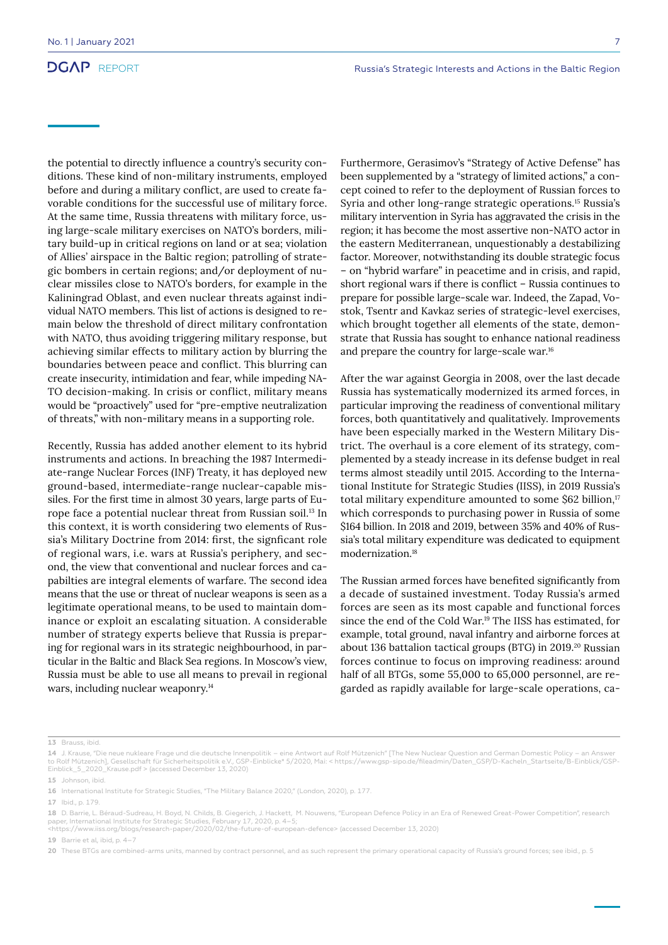the potential to directly influence a country's security conditions. These kind of non-military instruments, employed before and during a military conflict, are used to create favorable conditions for the successful use of military force. At the same time, Russia threatens with military force, using large-scale military exercises on NATO's borders, military build-up in critical regions on land or at sea; violation of Allies' airspace in the Baltic region; patrolling of strategic bombers in certain regions; and/or deployment of nuclear missiles close to NATO's borders, for example in the Kaliningrad Oblast, and even nuclear threats against individual NATO members. This list of actions is designed to remain below the threshold of direct military confrontation with NATO, thus avoiding triggering military response, but achieving similar effects to military action by blurring the boundaries between peace and conflict. This blurring can create insecurity, intimidation and fear, while impeding NA-TO decision-making. In crisis or conflict, military means would be "proactively" used for "pre-emptive neutralization of threats," with non-military means in a supporting role.

Recently, Russia has added another element to its hybrid instruments and actions. In breaching the 1987 Intermediate-range Nuclear Forces (INF) Treaty, it has deployed new ground-based, intermediate-range nuclear-capable missiles. For the first time in almost 30 years, large parts of Europe face a potential nuclear threat from Russian soil.<sup>13</sup> In this context, it is worth considering two elements of Russia's Military Doctrine from 2014: first, the signficant role of regional wars, i.e. wars at Russia's periphery, and second, the view that conventional and nuclear forces and capabilties are integral elements of warfare. The second idea means that the use or threat of nuclear weapons is seen as a legitimate operational means, to be used to maintain dominance or exploit an escalating situation. A considerable number of strategy experts believe that Russia is preparing for regional wars in its strategic neighbourhood, in particular in the Baltic and Black Sea regions. In Moscow's view, Russia must be able to use all means to prevail in regional wars, including nuclear weaponry.<sup>14</sup>

Furthermore, Gerasimov's "Strategy of Active Defense" has been supplemented by a "strategy of limited actions," a concept coined to refer to the deployment of Russian forces to Syria and other long-range strategic operations.15 Russia's military intervention in Syria has aggravated the crisis in the region; it has become the most assertive non-NATO actor in the eastern Mediterranean, unquestionably a destabilizing factor. Moreover, notwithstanding its double strategic focus – on "hybrid warfare" in peacetime and in crisis, and rapid, short regional wars if there is conflict – Russia continues to prepare for possible large-scale war. Indeed, the Zapad, Vostok, Tsentr and Kavkaz series of strategic-level exercises, which brought together all elements of the state, demonstrate that Russia has sought to enhance national readiness and prepare the country for large-scale war.16

After the war against Georgia in 2008, over the last decade Russia has systematically modernized its armed forces, in particular improving the readiness of conventional military forces, both quantitatively and qualitatively. Improvements have been especially marked in the Western Military District. The overhaul is a core element of its strategy, complemented by a steady increase in its defense budget in real terms almost steadily until 2015. According to the International Institute for Strategic Studies (IISS), in 2019 Russia's total military expenditure amounted to some  $$62$  billion,<sup>17</sup> which corresponds to purchasing power in Russia of some \$164 billion. In 2018 and 2019, between 35% and 40% of Russia's total military expenditure was dedicated to equipment modernization.18

The Russian armed forces have benefited significantly from a decade of sustained investment. Today Russia's armed forces are seen as its most capable and functional forces since the end of the Cold War.19 The IISS has estimated, for example, total ground, naval infantry and airborne forces at about 136 battalion tactical groups (BTG) in 2019.<sup>20</sup> Russian forces continue to focus on improving readiness: around half of all BTGs, some 55,000 to 65,000 personnel, are regarded as rapidly available for large-scale operations, ca-

**17** Ibid., p. 179.

**19** Barrie et al, ibid, p. 4–7

**<sup>13</sup>** Brauss, ibid.

**<sup>14</sup>** J. Krause, "Die neue nukleare Frage und die deutsche Innenpolitik – eine Antwort auf Rolf Mützenich" [The New Nuclear Question and German Domestic Policy – an Answer to Rolf Mützenich], Gesellschaft für Sicherheitspolitik e.V., GSP-Einblicke\* 5/2020, Mai: < https://www.gsp-sipo.de/fileadmin/Daten\_GSP/D-Kacheln\_Startseite/B-Einblick/GSP-Einblick 5 2020 Krause.pdf > (accessed December 13, 2020)

**<sup>15</sup>** Johnson, ibid.

**<sup>16</sup>** International Institute for Strategic Studies, "The Military Balance 2020," (London, 2020), p. 177.

**<sup>18</sup>** D. Barrie, L. Béraud-Sudreau, H. Boyd, N. Childs, B. Giegerich, J. Hackett, M. Nouwens, "European Defence Policy in an Era of Renewed Great-Power Competition", research paper, International Institute for Strategic Studies, February 17, 2020, p. 4–5; <https://www.iiss.org/blogs/research-paper/2020/02/the-future-of-european-defence> (accessed December 13, 2020)

<sup>20</sup> These BTGs are combined-arms units, manned by contract personnel, and as such represent the primary operational capacity of Russia's ground forces; see ibid., p. 5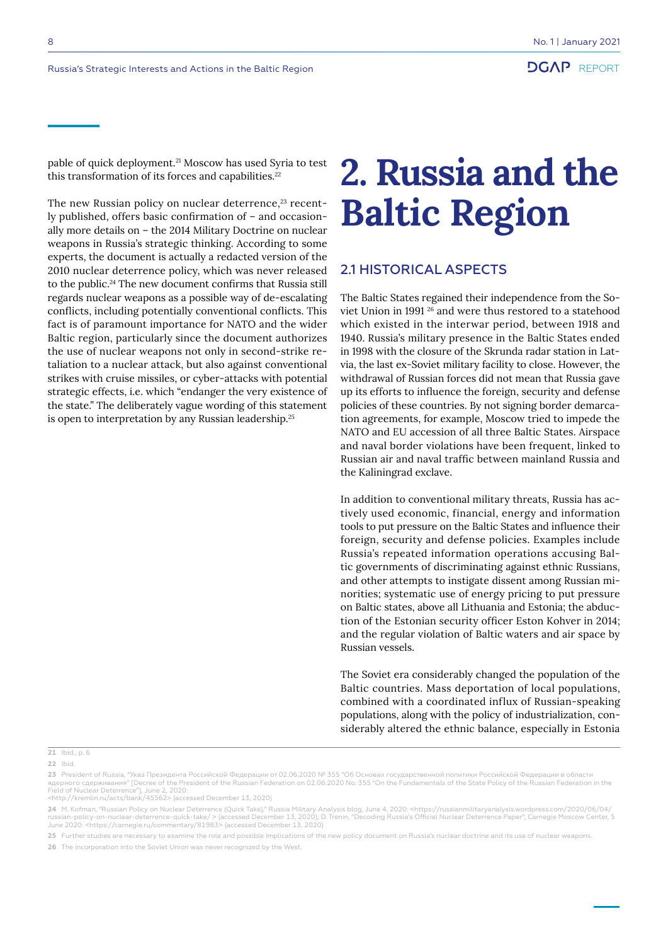pable of quick deployment.21 Moscow has used Syria to test this transformation of its forces and capabilities.<sup>22</sup>

The new Russian policy on nuclear deterrence,<sup>23</sup> recently published, offers basic confirmation of – and occasionally more details on – the 2014 Military Doctrine on nuclear weapons in Russia's strategic thinking. According to some experts, the document is actually a redacted version of the 2010 nuclear deterrence policy, which was never released to the public.24 The new document confirms that Russia still regards nuclear weapons as a possible way of de-escalating conflicts, including potentially conventional conflicts. This fact is of paramount importance for NATO and the wider Baltic region, particularly since the document authorizes the use of nuclear weapons not only in second-strike retaliation to a nuclear attack, but also against conventional strikes with cruise missiles, or cyber-attacks with potential strategic effects, i.e. which "endanger the very existence of the state." The deliberately vague wording of this statement is open to interpretation by any Russian leadership.25

## **2. Russia and the Baltic Region**

## 2.1 HISTORICAL ASPECTS

The Baltic States regained their independence from the Soviet Union in 1991 26 and were thus restored to a statehood which existed in the interwar period, between 1918 and 1940. Russia's military presence in the Baltic States ended in 1998 with the closure of the Skrunda radar station in Latvia, the last ex-Soviet military facility to close. However, the withdrawal of Russian forces did not mean that Russia gave up its efforts to influence the foreign, security and defense policies of these countries. By not signing border demarcation agreements, for example, Moscow tried to impede the NATO and EU accession of all three Baltic States. Airspace and naval border violations have been frequent, linked to Russian air and naval traffic between mainland Russia and the Kaliningrad exclave.

In addition to conventional military threats, Russia has actively used economic, financial, energy and information tools to put pressure on the Baltic States and influence their foreign, security and defense policies. Examples include Russia's repeated information operations accusing Baltic governments of discriminating against ethnic Russians, and other attempts to instigate dissent among Russian minorities; systematic use of energy pricing to put pressure on Baltic states, above all Lithuania and Estonia; the abduction of the Estonian security officer Eston Kohver in 2014; and the regular violation of Baltic waters and air space by Russian vessels.

The Soviet era considerably changed the population of the Baltic countries. Mass deportation of local populations, combined with a coordinated influx of Russian-speaking populations, along with the policy of industrialization, considerably altered the ethnic balance, especially in Estonia

**22** Ibid.

<http://kremlin.ru/acts/bank/45562> (accessed December 13, 2020)

**24** M. Kofman, "Russian Policy on Nuclear Deterrence (Quick Take)," Russia Military Analysis blog, June 4, 2020: <https://russianmilitaryanalysis.wordpress.com/2020/06/04/ russian-policy-on-nuclear-deterrence-quick-take/ > (accessed December 13, 2020); D. Trenin, "Decoding Russia's Official Nuclear Deterrence Paper", Carnegie Moscow Center, 5 June 2020: <https://carnegie.ru/commentary/81983> (accessed December 13, 2020)

**25** Further studies are necessary to examine the role and possible implications of the new policy document on Russia's nuclear doctrine and its use of nuclear weapons.

**26** The incorporation into the Soviet Union was never recognized by the West.

**<sup>21</sup>** Ibid., p. 6

**<sup>23</sup>** President of Russia, "Указ Президента Российской Федерации от 02.06.2020 № 355 "Об Основах государственной политики Российской Федерации в области ядерного сдерживания" [Decree of the President of the Russian Federation on 02.06.2020 No. 355 "On the Fundamentals of the State Policy of the Russian Federation in the<br>Field of Nuclear Deterrence"], June 2, 2020: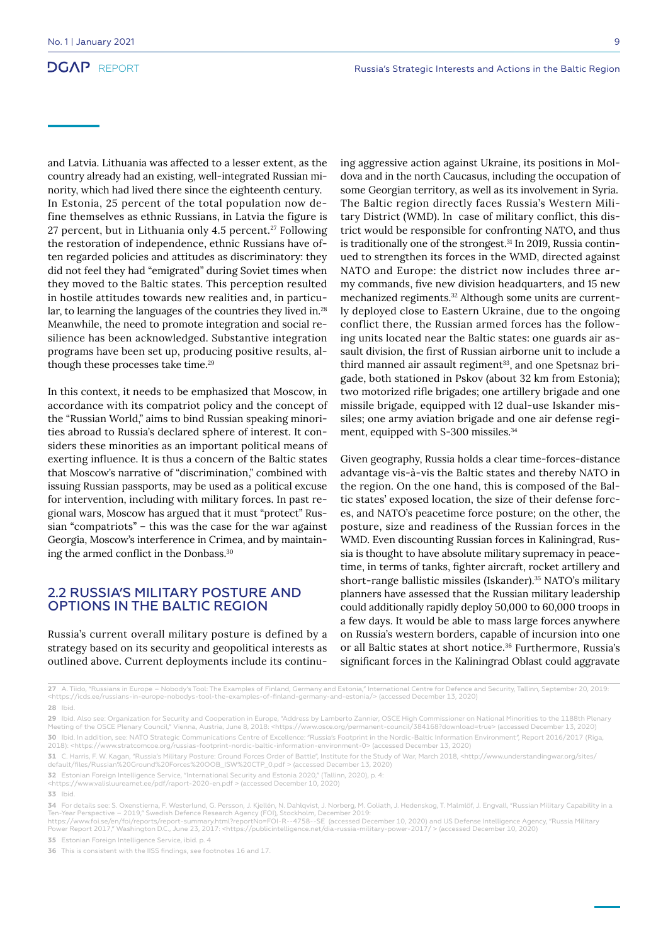and Latvia. Lithuania was affected to a lesser extent, as the country already had an existing, well-integrated Russian minority, which had lived there since the eighteenth century. In Estonia, 25 percent of the total population now define themselves as ethnic Russians, in Latvia the figure is 27 percent, but in Lithuania only 4.5 percent.<sup>27</sup> Following the restoration of independence, ethnic Russians have often regarded policies and attitudes as discriminatory: they did not feel they had "emigrated" during Soviet times when they moved to the Baltic states. This perception resulted in hostile attitudes towards new realities and, in particular, to learning the languages of the countries they lived in.<sup>28</sup> Meanwhile, the need to promote integration and social resilience has been acknowledged. Substantive integration programs have been set up, producing positive results, although these processes take time.<sup>29</sup>

In this context, it needs to be emphasized that Moscow, in accordance with its compatriot policy and the concept of the "Russian World," aims to bind Russian speaking minorities abroad to Russia's declared sphere of interest. It considers these minorities as an important political means of exerting influence. It is thus a concern of the Baltic states that Moscow's narrative of "discrimination," combined with issuing Russian passports, may be used as a political excuse for intervention, including with military forces. In past regional wars, Moscow has argued that it must "protect" Russian "compatriots" – this was the case for the war against Georgia, Moscow's interference in Crimea, and by maintaining the armed conflict in the Donbass.<sup>30</sup>

#### 2.2 RUSSIA'S MILITARY POSTURE AND OPTIONS IN THE BALTIC REGION

Russia's current overall military posture is defined by a strategy based on its security and geopolitical interests as outlined above. Current deployments include its continuing aggressive action against Ukraine, its positions in Moldova and in the north Caucasus, including the occupation of some Georgian territory, as well as its involvement in Syria. The Baltic region directly faces Russia's Western Military District (WMD). In case of military conflict, this district would be responsible for confronting NATO, and thus is traditionally one of the strongest.<sup>31</sup> In 2019, Russia continued to strengthen its forces in the WMD, directed against NATO and Europe: the district now includes three army commands, five new division headquarters, and 15 new mechanized regiments.<sup>32</sup> Although some units are currently deployed close to Eastern Ukraine, due to the ongoing conflict there, the Russian armed forces has the following units located near the Baltic states: one guards air assault division, the first of Russian airborne unit to include a third manned air assault regiment<sup>33</sup>, and one Spetsnaz brigade, both stationed in Pskov (about 32 km from Estonia); two motorized rifle brigades; one artillery brigade and one missile brigade, equipped with 12 dual-use Iskander missiles; one army aviation brigade and one air defense regiment, equipped with S-300 missiles.<sup>34</sup>

Given geography, Russia holds a clear time-forces-distance advantage vis-à-vis the Baltic states and thereby NATO in the region. On the one hand, this is composed of the Baltic states' exposed location, the size of their defense forces, and NATO's peacetime force posture; on the other, the posture, size and readiness of the Russian forces in the WMD. Even discounting Russian forces in Kaliningrad, Russia is thought to have absolute military supremacy in peacetime, in terms of tanks, fighter aircraft, rocket artillery and short-range ballistic missiles (Iskander).<sup>35</sup> NATO's military planners have assessed that the Russian military leadership could additionally rapidly deploy 50,000 to 60,000 troops in a few days. It would be able to mass large forces anywhere on Russia's western borders, capable of incursion into one or all Baltic states at short notice.<sup>36</sup> Furthermore, Russia's significant forces in the Kaliningrad Oblast could aggravate

**27** A. Tiido, "Russians in Europe – Nobody's Tool: The Examples of Finland, Germany and Estonia," International Centre for Defence and Security, Tallinn, September 20, 2019: <https://icds.ee/russians-in-europe-nobodys-tool-the-examples-of-finland-germany-and-estonia/> (accessed December 13, 2020) **28** Ibid.

https://www.foi.se/en/foi/reports/report-summary.html?reportNo=FOI-R--4758--SE (accessed December 10, 2020) and US Defense Intelligence Agency, "Russia Military<br>Power Report 2017," Washington D.C., June 23, 2017: <https:// **35** Estonian Foreign Intelligence Service, ibid. p. 4

**<sup>29</sup>** Ibid. Also see: Organization for Security and Cooperation in Europe, "Address by Lamberto Zannier, OSCE High Commissioner on National Minorities to the 1188th Plenary Meeting of the OSCE Plenary Council," Vienna, Austria, June 8, 2018: <https://www.osce.org/permanent-council/384168?download=true> (accessed December 13, 2020)

**<sup>30</sup>** Ibid. In addition, see: NATO Strategic Communications Centre of Excellence: "Russia's Footprint in the Nordic-Baltic Information Environment", Report 2016/2017 (Riga, 2018): <https://www.stratcomcoe.org/russias-footprint-nordic-baltic-information-environment-0> (accessed December 13, 2020)

**<sup>31</sup>** C. Harris, F. W. Kagan, "Russia's Military Posture: Ground Forces Order of Battle", Institute for the Study of War, March 2018, <http://www.understandingwar.org/sites/ default/files/Russian%20Ground%20Forces%20OOB\_ISW%20CTP\_0.pdf > (accessed December 13, 2020)

**<sup>32</sup>** Estonian Foreign Intelligence Service, "International Security and Estonia 2020," (Tallinn, 2020), p. 4:

<sup>&</sup>lt;https://www.valisluureamet.ee/pdf/raport-2020-en.pdf > (accessed December 10, 2020)

**<sup>33</sup>** Ibid.

**<sup>34</sup>** For details see: S. Oxenstierna, F. Westerlund, G. Persson, J. Kjellén, N. Dahlqvist, J. Norberg, M. Goliath, J. Hedenskog, T. Malmlöf, J. Engvall, "Russian Military Capability in a<br>Ten-Year Perspective – 2019," Swedi

**<sup>36</sup>** This is consistent with the IISS findings, see footnotes 16 and 17.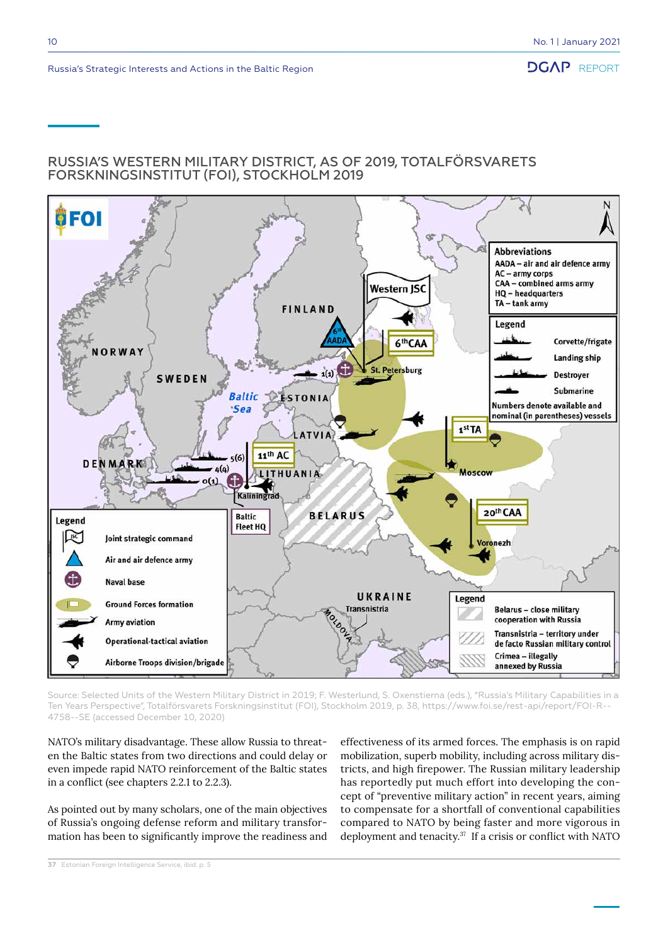### RUSSIA'S WESTERN MILITARY DISTRICT, AS OF 2019, TOTALFÖRSVARETS FORSKNINGSINSTITUT (FOI), STOCKHOLM 2019



Source: Selected Units of the Western Military District in 2019; F. Westerlund, S. Oxenstierna (eds.), "Russia's Military Capabilities in a Ten Years Perspective", Totalförsvarets Forskningsinstitut (FOI), Stockholm 2019, p. 38, https://www.foi.se/rest-api/report/FOI-R-- 4758--SE (accessed December 10, 2020)

NATO's military disadvantage. These allow Russia to threaten the Baltic states from two directions and could delay or even impede rapid NATO reinforcement of the Baltic states in a conflict (see chapters 2.2.1 to 2.2.3).

As pointed out by many scholars, one of the main objectives of Russia's ongoing defense reform and military transformation has been to significantly improve the readiness and effectiveness of its armed forces. The emphasis is on rapid mobilization, superb mobility, including across military districts, and high firepower. The Russian military leadership has reportedly put much effort into developing the concept of "preventive military action" in recent years, aiming to compensate for a shortfall of conventional capabilities compared to NATO by being faster and more vigorous in deployment and tenacity.<sup>37</sup> If a crisis or conflict with NATO

**37** Estonian Foreign Intelligence Service, ibid. p. 5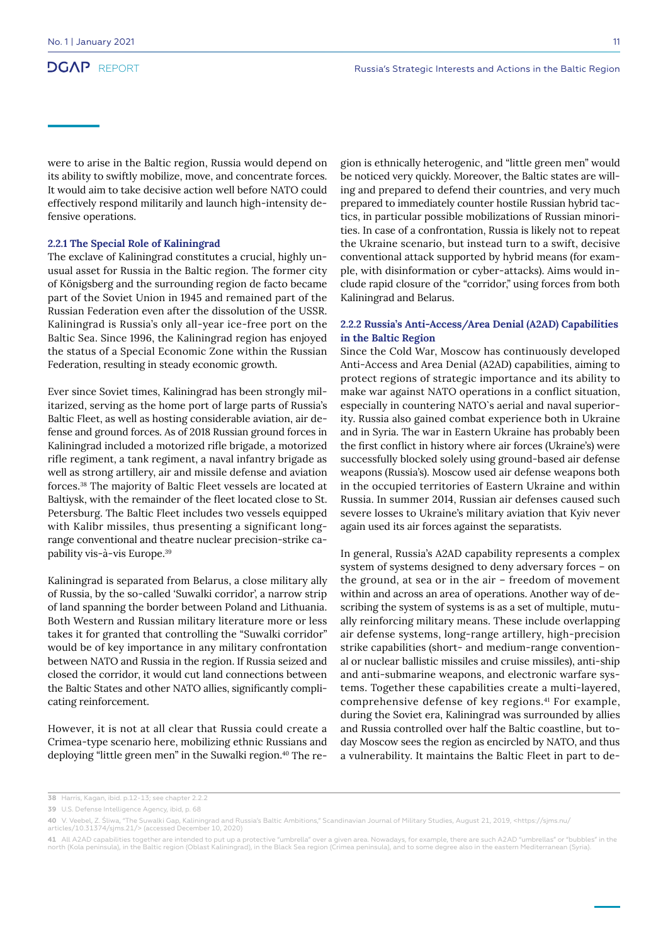were to arise in the Baltic region, Russia would depend on its ability to swiftly mobilize, move, and concentrate forces. It would aim to take decisive action well before NATO could effectively respond militarily and launch high-intensity defensive operations.

#### **2.2.1 The Special Role of Kaliningrad**

The exclave of Kaliningrad constitutes a crucial, highly unusual asset for Russia in the Baltic region. The former city of Königsberg and the surrounding region de facto became part of the Soviet Union in 1945 and remained part of the Russian Federation even after the dissolution of the USSR. Kaliningrad is Russia's only all-year ice-free port on the Baltic Sea. Since 1996, the Kaliningrad region has enjoyed the status of a Special Economic Zone within the Russian Federation, resulting in steady economic growth.

Ever since Soviet times, Kaliningrad has been strongly militarized, serving as the home port of large parts of Russia's Baltic Fleet, as well as hosting considerable aviation, air defense and ground forces. As of 2018 Russian ground forces in Kaliningrad included a motorized rifle brigade, a motorized rifle regiment, a tank regiment, a naval infantry brigade as well as strong artillery, air and missile defense and aviation forces.38 The majority of Baltic Fleet vessels are located at Baltiysk, with the remainder of the fleet located close to St. Petersburg. The Baltic Fleet includes two vessels equipped with Kalibr missiles, thus presenting a significant longrange conventional and theatre nuclear precision-strike capability vis-à-vis Europe.39

Kaliningrad is separated from Belarus, a close military ally of Russia, by the so-called 'Suwalki corridor', a narrow strip of land spanning the border between Poland and Lithuania. Both Western and Russian military literature more or less takes it for granted that controlling the "Suwalki corridor" would be of key importance in any military confrontation between NATO and Russia in the region. If Russia seized and closed the corridor, it would cut land connections between the Baltic States and other NATO allies, significantly complicating reinforcement.

However, it is not at all clear that Russia could create a Crimea-type scenario here, mobilizing ethnic Russians and deploying "little green men" in the Suwalki region.<sup>40</sup> The region is ethnically heterogenic, and "little green men" would be noticed very quickly. Moreover, the Baltic states are willing and prepared to defend their countries, and very much prepared to immediately counter hostile Russian hybrid tactics, in particular possible mobilizations of Russian minorities. In case of a confrontation, Russia is likely not to repeat the Ukraine scenario, but instead turn to a swift, decisive conventional attack supported by hybrid means (for example, with disinformation or cyber-attacks). Aims would include rapid closure of the "corridor," using forces from both Kaliningrad and Belarus.

#### **2.2.2 Russia's Anti-Access/Area Denial (A2AD) Capabilities in the Baltic Region**

Since the Cold War, Moscow has continuously developed Anti-Access and Area Denial (A2AD) capabilities, aiming to protect regions of strategic importance and its ability to make war against NATO operations in a conflict situation, especially in countering NATO`s aerial and naval superiority. Russia also gained combat experience both in Ukraine and in Syria. The war in Eastern Ukraine has probably been the first conflict in history where air forces (Ukraine's) were successfully blocked solely using ground-based air defense weapons (Russia's). Moscow used air defense weapons both in the occupied territories of Eastern Ukraine and within Russia. In summer 2014, Russian air defenses caused such severe losses to Ukraine's military aviation that Kyiv never again used its air forces against the separatists.

In general, Russia's A2AD capability represents a complex system of systems designed to deny adversary forces – on the ground, at sea or in the air – freedom of movement within and across an area of operations. Another way of describing the system of systems is as a set of multiple, mutually reinforcing military means. These include overlapping air defense systems, long-range artillery, high-precision strike capabilities (short- and medium-range conventional or nuclear ballistic missiles and cruise missiles), anti-ship and anti-submarine weapons, and electronic warfare systems. Together these capabilities create a multi-layered, comprehensive defense of key regions.41 For example, during the Soviet era, Kaliningrad was surrounded by allies and Russia controlled over half the Baltic coastline, but today Moscow sees the region as encircled by NATO, and thus a vulnerability. It maintains the Baltic Fleet in part to de-

**<sup>38</sup>** Harris, Kagan, ibid. p.12-13; see chapter 2.2.2

**<sup>39</sup>** U.S. Defense Intelligence Agency, ibid, p. 68

**<sup>40</sup>** V. Veebel, Z. Śliwa, "The Suwalki Gap, Kaliningrad and Russia's Baltic Ambitions," Scandinavian Journal of Military Studies, August 21, 2019, <https://sjms.nu/<br>articles/10.31374/sjms.21/> (accessed December 10, 2020

<sup>41</sup> All A2AD capabilities together are intended to put up a protective "umbrella" over a given area. Nowadays, for example, there are such A2AD "umbrellas" or "bubbles" in the<br>north (Kola peninsula), in the Baltic region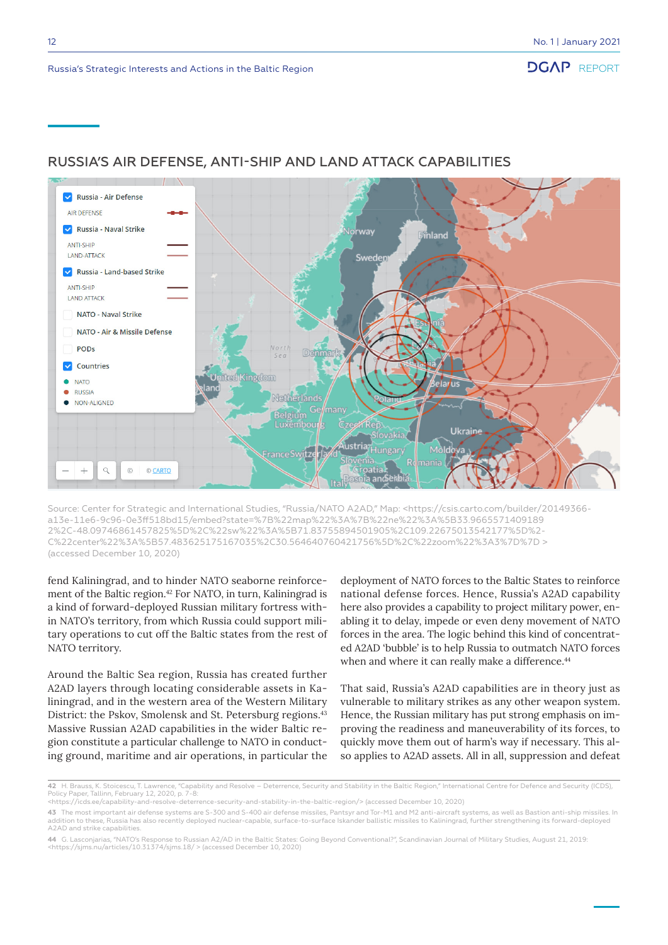

#### RUSSIA'S AIR DEFENSE, ANTI-SHIP AND LAND ATTACK CAPABILITIES

Source: Center for Strategic and International Studies, "Russia/NATO A2AD," Map: <https://csis.carto.com/builder/20149366 a13e-11e6-9c96-0e3ff518bd15/embed?state=%7B%22map%22%3A%7B%22ne%22%3A%5B33.9665571409189 2%2C-48.09746861457825%5D%2C%22sw%22%3A%5B71.83755894501905%2C109.22675013542177%5D%2- C%22center%22%3A%5B57.483625175167035%2C30.564640760421756%5D%2C%22zoom%22%3A3%7D%7D > (accessed December 10, 2020)

fend Kaliningrad, and to hinder NATO seaborne reinforcement of the Baltic region.<sup>42</sup> For NATO, in turn, Kaliningrad is a kind of forward-deployed Russian military fortress within NATO's territory, from which Russia could support military operations to cut off the Baltic states from the rest of NATO territory.

Around the Baltic Sea region, Russia has created further A2AD layers through locating considerable assets in Kaliningrad, and in the western area of the Western Military District: the Pskov, Smolensk and St. Petersburg regions.<sup>43</sup> Massive Russian A2AD capabilities in the wider Baltic region constitute a particular challenge to NATO in conducting ground, maritime and air operations, in particular the

deployment of NATO forces to the Baltic States to reinforce national defense forces. Hence, Russia's A2AD capability here also provides a capability to project military power, enabling it to delay, impede or even deny movement of NATO forces in the area. The logic behind this kind of concentrated A2AD 'bubble' is to help Russia to outmatch NATO forces when and where it can really make a difference.<sup>44</sup>

That said, Russia's A2AD capabilities are in theory just as vulnerable to military strikes as any other weapon system. Hence, the Russian military has put strong emphasis on improving the readiness and maneuverability of its forces, to quickly move them out of harm's way if necessary. This also applies to A2AD assets. All in all, suppression and defeat

**<sup>42</sup>** H. Brauss, K. Stoicescu, T. Lawrence, "Capability and Resolve – Deterrence, Security and Stability in the Baltic Region," International Centre for Defence and Security (ICDS),<br>Policy Paper, Tallinn, February 12, 202

<sup>&</sup>lt;https://icds.ee/capability-and-resolve-deterrence-security-and-stability-in-the-baltic-region/> (accessed December 10, 2020)

**<sup>43</sup>** The most important air defense systems are S-300 and S-400 air defense missiles, Pantsyr and Tor-M1 and M2 anti-aircraft systems, as well as Bastion anti-ship missiles. In addition to these, Russia has also recently deployed nuclear-capable, surface-to-surface Iskander ballistic missiles to Kaliningrad, further strengthening its forward-deployed A2AD and strike capabilities.

**<sup>44</sup>** G. Lasconjarias, "NATO's Response to Russian A2/AD in the Baltic States: Going Beyond Conventional?", Scandinavian Journal of Military Studies, August 21, 2019: <https://sjms.nu/articles/10.31374/sjms.18/ > (accessed December 10, 2020)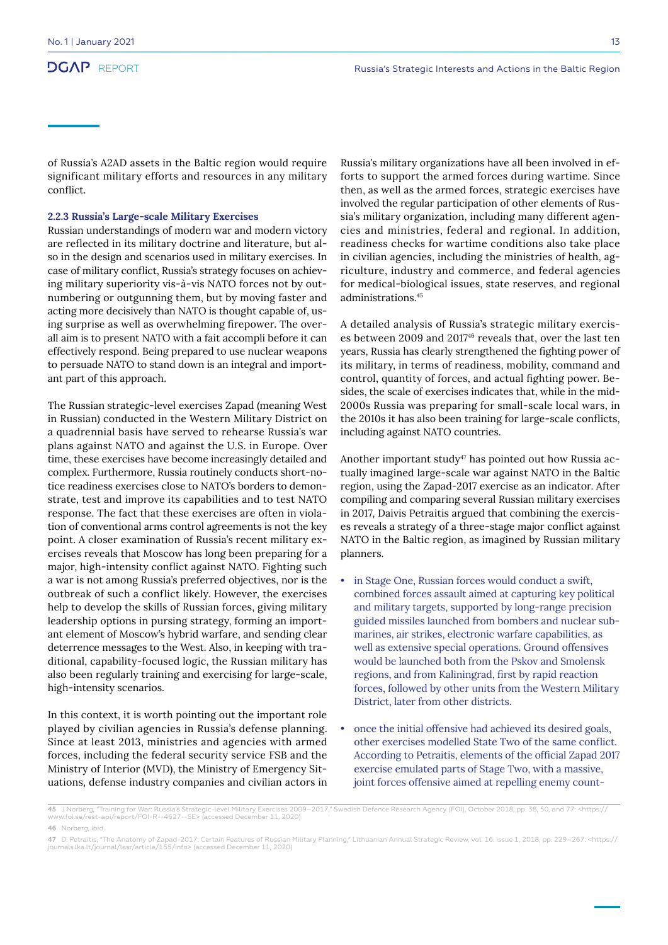of Russia's A2AD assets in the Baltic region would require significant military efforts and resources in any military conflict.

#### **2.2.3 Russia's Large-scale Military Exercises**

Russian understandings of modern war and modern victory are reflected in its military doctrine and literature, but also in the design and scenarios used in military exercises. In case of military conflict, Russia's strategy focuses on achieving military superiority vis-à-vis NATO forces not by outnumbering or outgunning them, but by moving faster and acting more decisively than NATO is thought capable of, using surprise as well as overwhelming firepower. The overall aim is to present NATO with a fait accompli before it can effectively respond. Being prepared to use nuclear weapons to persuade NATO to stand down is an integral and important part of this approach.

The Russian strategic-level exercises Zapad (meaning West in Russian) conducted in the Western Military District on a quadrennial basis have served to rehearse Russia's war plans against NATO and against the U.S. in Europe. Over time, these exercises have become increasingly detailed and complex. Furthermore, Russia routinely conducts short-notice readiness exercises close to NATO's borders to demonstrate, test and improve its capabilities and to test NATO response. The fact that these exercises are often in violation of conventional arms control agreements is not the key point. A closer examination of Russia's recent military exercises reveals that Moscow has long been preparing for a major, high-intensity conflict against NATO. Fighting such a war is not among Russia's preferred objectives, nor is the outbreak of such a conflict likely. However, the exercises help to develop the skills of Russian forces, giving military leadership options in pursing strategy, forming an important element of Moscow's hybrid warfare, and sending clear deterrence messages to the West. Also, in keeping with traditional, capability-focused logic, the Russian military has also been regularly training and exercising for large-scale, high-intensity scenarios.

In this context, it is worth pointing out the important role played by civilian agencies in Russia's defense planning. Since at least 2013, ministries and agencies with armed forces, including the federal security service FSB and the Ministry of Interior (MVD), the Ministry of Emergency Situations, defense industry companies and civilian actors in

Russia's military organizations have all been involved in efforts to support the armed forces during wartime. Since then, as well as the armed forces, strategic exercises have involved the regular participation of other elements of Russia's military organization, including many different agencies and ministries, federal and regional. In addition, readiness checks for wartime conditions also take place in civilian agencies, including the ministries of health, agriculture, industry and commerce, and federal agencies for medical-biological issues, state reserves, and regional administrations.45

A detailed analysis of Russia's strategic military exercises between 2009 and 201746 reveals that, over the last ten years, Russia has clearly strengthened the fighting power of its military, in terms of readiness, mobility, command and control, quantity of forces, and actual fighting power. Besides, the scale of exercises indicates that, while in the mid-2000s Russia was preparing for small-scale local wars, in the 2010s it has also been training for large-scale conflicts, including against NATO countries.

Another important study<sup>47</sup> has pointed out how Russia actually imagined large-scale war against NATO in the Baltic region, using the Zapad-2017 exercise as an indicator. After compiling and comparing several Russian military exercises in 2017, Daivis Petraitis argued that combining the exercises reveals a strategy of a three-stage major conflict against NATO in the Baltic region, as imagined by Russian military planners.

- in Stage One, Russian forces would conduct a swift, combined forces assault aimed at capturing key political and military targets, supported by long-range precision guided missiles launched from bombers and nuclear submarines, air strikes, electronic warfare capabilities, as well as extensive special operations. Ground offensives would be launched both from the Pskov and Smolensk regions, and from Kaliningrad, first by rapid reaction forces, followed by other units from the Western Military District, later from other districts.
- once the initial offensive had achieved its desired goals, other exercises modelled State Two of the same conflict. According to Petraitis, elements of the official Zapad 2017 exercise emulated parts of Stage Two, with a massive, joint forces offensive aimed at repelling enemy count-

<sup>45</sup> J Norberg, "Training for War: Russia's Strategic-level Military Exercises 2009–2017," Swedish Defence Research Agency (FOI), October 2018, pp. 38, 50, and 77: <https://<br>www.foi.se/rest-api/report/FOI-R--4627--SE> (acc

**<sup>46</sup>** Norberg, ibid.

**<sup>47</sup>** D. Petraitis, "The Anatomy of Zapad-2017: Certain Features of Russian Military Planning," Lithuanian Annual Strategic Review, vol. 16. issue 1, 2018, pp. 229–267: <https://<br>journals.lka.lt/journal/lasr/article/155/inf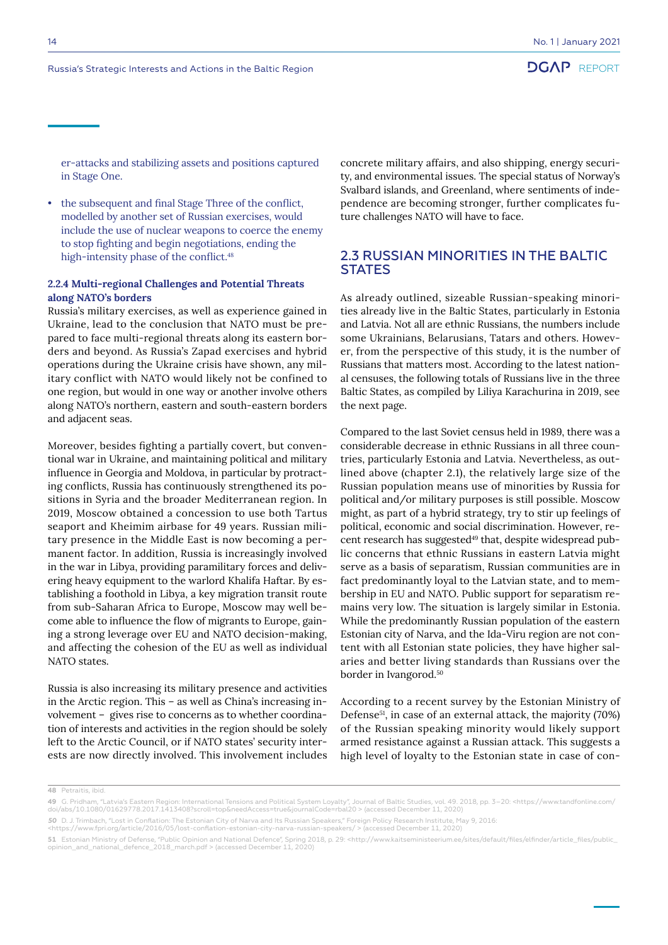er-attacks and stabilizing assets and positions captured in Stage One.

• the subsequent and final Stage Three of the conflict, modelled by another set of Russian exercises, would include the use of nuclear weapons to coerce the enemy to stop fighting and begin negotiations, ending the high-intensity phase of the conflict.<sup>48</sup>

#### **2.2.4 Multi-regional Challenges and Potential Threats along NATO's borders**

Russia's military exercises, as well as experience gained in Ukraine, lead to the conclusion that NATO must be prepared to face multi-regional threats along its eastern borders and beyond. As Russia's Zapad exercises and hybrid operations during the Ukraine crisis have shown, any military conflict with NATO would likely not be confined to one region, but would in one way or another involve others along NATO's northern, eastern and south-eastern borders and adjacent seas.

Moreover, besides fighting a partially covert, but conventional war in Ukraine, and maintaining political and military influence in Georgia and Moldova, in particular by protracting conflicts, Russia has continuously strengthened its positions in Syria and the broader Mediterranean region. In 2019, Moscow obtained a concession to use both Tartus seaport and Kheimim airbase for 49 years. Russian military presence in the Middle East is now becoming a permanent factor. In addition, Russia is increasingly involved in the war in Libya, providing paramilitary forces and delivering heavy equipment to the warlord Khalifa Haftar. By establishing a foothold in Libya, a key migration transit route from sub-Saharan Africa to Europe, Moscow may well become able to influence the flow of migrants to Europe, gaining a strong leverage over EU and NATO decision-making, and affecting the cohesion of the EU as well as individual NATO states.

Russia is also increasing its military presence and activities in the Arctic region. This – as well as China's increasing involvement – gives rise to concerns as to whether coordination of interests and activities in the region should be solely left to the Arctic Council, or if NATO states' security interests are now directly involved. This involvement includes concrete military affairs, and also shipping, energy security, and environmental issues. The special status of Norway's Svalbard islands, and Greenland, where sentiments of independence are becoming stronger, further complicates future challenges NATO will have to face.

### 2.3 RUSSIAN MINORITIES IN THE BALTIC **STATES**

As already outlined, sizeable Russian-speaking minorities already live in the Baltic States, particularly in Estonia and Latvia. Not all are ethnic Russians, the numbers include some Ukrainians, Belarusians, Tatars and others. However, from the perspective of this study, it is the number of Russians that matters most. According to the latest national censuses, the following totals of Russians live in the three Baltic States, as compiled by Liliya Karachurina in 2019, see the next page.

Compared to the last Soviet census held in 1989, there was a considerable decrease in ethnic Russians in all three countries, particularly Estonia and Latvia. Nevertheless, as outlined above (chapter 2.1), the relatively large size of the Russian population means use of minorities by Russia for political and/or military purposes is still possible. Moscow might, as part of a hybrid strategy, try to stir up feelings of political, economic and social discrimination. However, recent research has suggested<sup>49</sup> that, despite widespread public concerns that ethnic Russians in eastern Latvia might serve as a basis of separatism, Russian communities are in fact predominantly loyal to the Latvian state, and to membership in EU and NATO. Public support for separatism remains very low. The situation is largely similar in Estonia. While the predominantly Russian population of the eastern Estonian city of Narva, and the Ida-Viru region are not content with all Estonian state policies, they have higher salaries and better living standards than Russians over the border in Ivangorod.50

According to a recent survey by the Estonian Ministry of Defense51, in case of an external attack, the majority (70%) of the Russian speaking minority would likely support armed resistance against a Russian attack. This suggests a high level of loyalty to the Estonian state in case of con-

**48** Petraitis, ibid.

**<sup>49</sup>** G. Pridham, "Latvia's Eastern Region: International Tensions and Political System Loyalty", Journal of Baltic Studies, vol. 49. 2018, pp. 3–20: <https://www.tandfonline.com/ doi/abs/10.1080/01629778.2017.1413408?scroll=top&needAccess=true&journalCode=rbal20 > (accessed December 11, 2020)

<sup>50</sup> D. J. Trimbach, "Lost in Conflation: The Estonian City of Narva and Its Russian Speakers," Foreign Policy Research Institute, May 9, 2016:<br><https://www.fpri.org/article/2016/05/lost-conflation-estonian-city-narva-russia

**<sup>51</sup>** Estonian Ministry of Defense, "Public Opinion and National Defence", Spring 2018, p. 29: <http://www.kaitseministeerium.ee/sites/default/files/elfinder/article\_files/public\_ opinion\_and\_national\_defence\_2018\_march.pdf > (accessed December 11, 2020)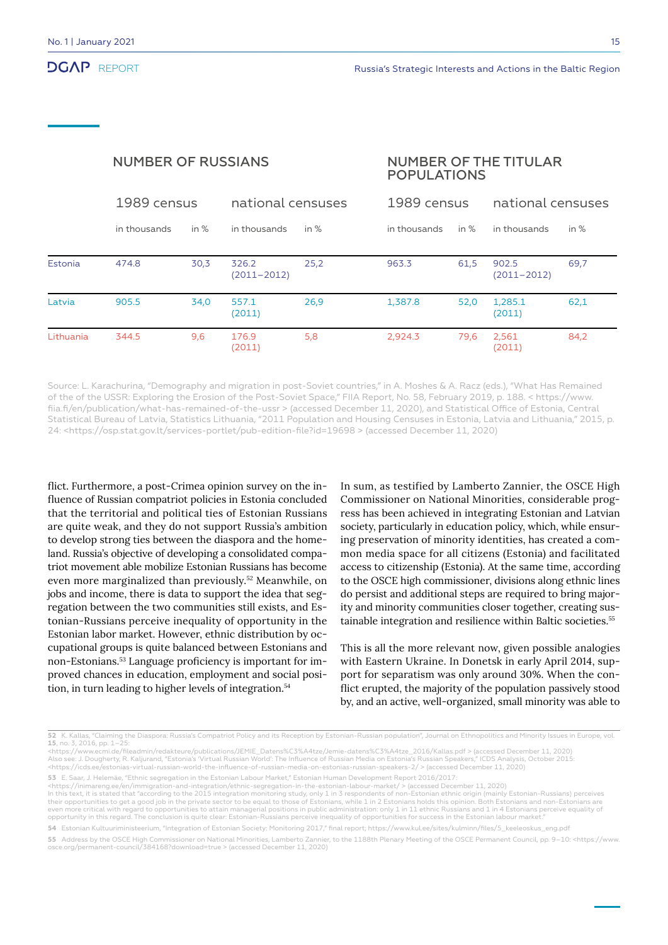|                | <b>NUMBER OF RUSSIANS</b> |        |                          |        | <b>NUMBER OF THE TITULAR</b><br><b>POPULATIONS</b> |        |                          |        |
|----------------|---------------------------|--------|--------------------------|--------|----------------------------------------------------|--------|--------------------------|--------|
|                | 1989 census               |        | national censuses        |        | 1989 census                                        |        | national censuses        |        |
|                | in thousands              | in $%$ | in thousands             | in $%$ | in thousands                                       | in $%$ | in thousands             | in $%$ |
| <b>Estonia</b> | 474.8                     | 30,3   | 326.2<br>$(2011 - 2012)$ | 25,2   | 963.3                                              | 61,5   | 902.5<br>$(2011 - 2012)$ | 69,7   |
| Latvia         | 905.5                     | 34,0   | 557.1<br>(2011)          | 26,9   | 1,387.8                                            | 52,0   | 1,285.1<br>(2011)        | 62,1   |
| Lithuania      | 344.5                     | 9,6    | 176.9<br>(2011)          | 5,8    | 2,924.3                                            | 79,6   | 2,561<br>(2011)          | 84,2   |

Source: L. Karachurina, "Demography and migration in post-Soviet countries," in A. Moshes & A. Racz (eds.), "What Has Remained of the of the USSR: Exploring the Erosion of the Post-Soviet Space," FIIA Report, No. 58, February 2019, p. 188. < https://www. fiia.fi/en/publication/what-has-remained-of-the-ussr > (accessed December 11, 2020), and Statistical Office of Estonia, Central Statistical Bureau of Latvia, Statistics Lithuania, "2011 Population and Housing Censuses in Estonia, Latvia and Lithuania," 2015, p. 24: <https://osp.stat.gov.lt/services-portlet/pub-edition-file?id=19698 > (accessed December 11, 2020)

flict. Furthermore, a post-Crimea opinion survey on the influence of Russian compatriot policies in Estonia concluded that the territorial and political ties of Estonian Russians are quite weak, and they do not support Russia's ambition to develop strong ties between the diaspora and the homeland. Russia's objective of developing a consolidated compatriot movement able mobilize Estonian Russians has become even more marginalized than previously.52 Meanwhile, on jobs and income, there is data to support the idea that segregation between the two communities still exists, and Estonian-Russians perceive inequality of opportunity in the Estonian labor market. However, ethnic distribution by occupational groups is quite balanced between Estonians and non-Estonians.53 Language proficiency is important for improved chances in education, employment and social position, in turn leading to higher levels of integration.<sup>54</sup>

In sum, as testified by Lamberto Zannier, the OSCE High Commissioner on National Minorities, considerable progress has been achieved in integrating Estonian and Latvian society, particularly in education policy, which, while ensuring preservation of minority identities, has created a common media space for all citizens (Estonia) and facilitated access to citizenship (Estonia). At the same time, according to the OSCE high commissioner, divisions along ethnic lines do persist and additional steps are required to bring majority and minority communities closer together, creating sustainable integration and resilience within Baltic societies.<sup>55</sup>

This is all the more relevant now, given possible analogies with Eastern Ukraine. In Donetsk in early April 2014, support for separatism was only around 30%. When the conflict erupted, the majority of the population passively stood by, and an active, well-organized, small minority was able to

**53** E. Saar, J. Helemäe, "Ethnic segregation in the Estonian Labour Market," Estonian Human Development Report 2016/2017:

**<sup>52</sup>** K. Kallas, "Claiming the Diaspora: Russia's Compatriot Policy and its Reception by Estonian-Russian population", Journal on Ethnopolitics and Minority Issues in Europe, vol. **15**, no. 3, 2016, pp. 1–25: <https://www.ecmi.de/fileadmin/redakteure/publications/JEMIE\_Datens%C3%A4tze/Jemie-datens%C3%A4tze\_2016/Kallas.pdf > (accessed December 11, 2020)<br>Also see: J. Dougherty, R. Kaljurand, "Estonia's 'Virtual Russian World': Th <https://icds.ee/estonias-virtual-russian-world-the-influence-of-russian-media-on-estonias-russian-speakers-2/ > (accessed December 11, 2020)

<sup>&</sup>lt;https://inimareng.ee/en/immigration-and-integration/ethnic-segregation-in-the-estonian-labour-market/ > (accessed December 11, 2020)<br>In this text, it is stated that "according to the 2015 integration monitoring study, onl their opportunities to get a good job in the private sector to be equal to those of Estonians, while 1 in 2 Estonians holds this opinion. Both Estonians and non-Estonians are even more critical with regard to opportunities to attain managerial positions in public administration: only 1 in 11 ethnic Russians and 1 in 4 Estonians perceive equality of opportunity in this regard. The conclusion is quite clear: Estonian-Russians perceive inequality of opportunities for success in the Estonian labour market."

**<sup>54</sup>** Estonian Kultuuriministeerium, "Integration of Estonian Society: Monitoring 2017," final report; https://www.kul.ee/sites/kulminn/files/5\_keeleoskus\_eng.pdf

**<sup>55</sup>** Address by the OSCE High Commissioner on National Minorities, Lamberto Zannier, to the 1188th Plenary Meeting of the OSCE Permanent Council, pp. 9–10: <https://www. osce.org/permanent-council/384168?download=true > (accessed December 11, 2020)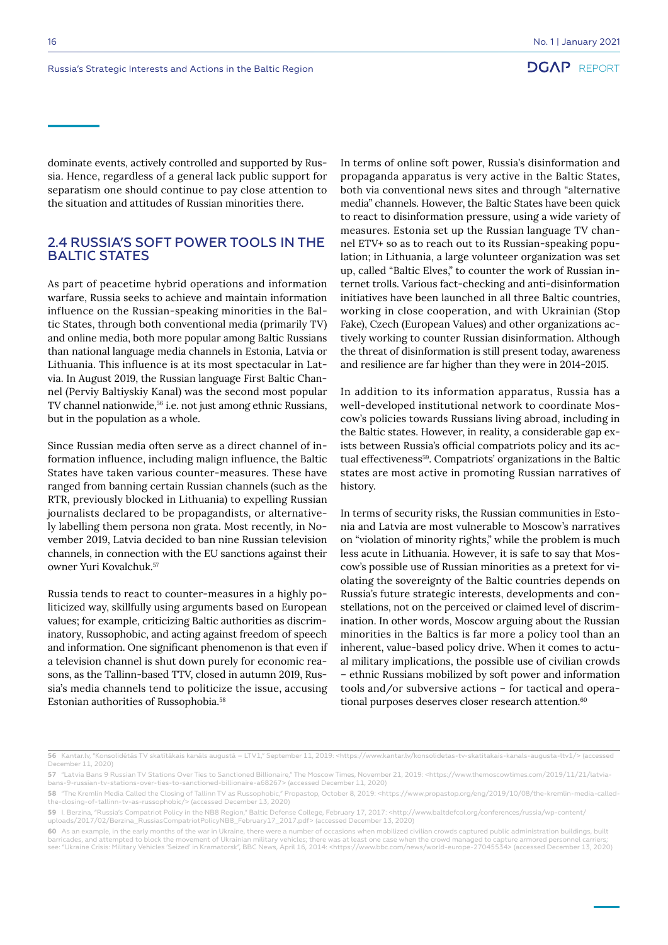dominate events, actively controlled and supported by Russia. Hence, regardless of a general lack public support for separatism one should continue to pay close attention to the situation and attitudes of Russian minorities there.

#### 2.4 RUSSIA'S SOFT POWER TOOLS IN THE BALTIC STATES

As part of peacetime hybrid operations and information warfare, Russia seeks to achieve and maintain information influence on the Russian-speaking minorities in the Baltic States, through both conventional media (primarily TV) and online media, both more popular among Baltic Russians than national language media channels in Estonia, Latvia or Lithuania. This influence is at its most spectacular in Latvia. In August 2019, the Russian language First Baltic Channel (Perviy Baltiyskiy Kanal) was the second most popular TV channel nationwide,<sup>56</sup> i.e. not just among ethnic Russians, but in the population as a whole.

Since Russian media often serve as a direct channel of information influence, including malign influence, the Baltic States have taken various counter-measures. These have ranged from banning certain Russian channels (such as the RTR, previously blocked in Lithuania) to expelling Russian journalists declared to be propagandists, or alternatively labelling them persona non grata. Most recently, in November 2019, Latvia decided to ban nine Russian television channels, in connection with the EU sanctions against their owner Yuri Kovalchuk.57

Russia tends to react to counter-measures in a highly politicized way, skillfully using arguments based on European values; for example, criticizing Baltic authorities as discriminatory, Russophobic, and acting against freedom of speech and information. One significant phenomenon is that even if a television channel is shut down purely for economic reasons, as the Tallinn-based TTV, closed in autumn 2019, Russia's media channels tend to politicize the issue, accusing Estonian authorities of Russophobia.58

In terms of online soft power, Russia's disinformation and propaganda apparatus is very active in the Baltic States, both via conventional news sites and through "alternative media" channels. However, the Baltic States have been quick to react to disinformation pressure, using a wide variety of measures. Estonia set up the Russian language TV channel ETV+ so as to reach out to its Russian-speaking population; in Lithuania, a large volunteer organization was set up, called "Baltic Elves," to counter the work of Russian internet trolls. Various fact-checking and anti-disinformation initiatives have been launched in all three Baltic countries, working in close cooperation, and with Ukrainian (Stop Fake), Czech (European Values) and other organizations actively working to counter Russian disinformation. Although the threat of disinformation is still present today, awareness and resilience are far higher than they were in 2014-2015.

In addition to its information apparatus, Russia has a well-developed institutional network to coordinate Moscow's policies towards Russians living abroad, including in the Baltic states. However, in reality, a considerable gap exists between Russia's official compatriots policy and its actual effectiveness<sup>59</sup>. Compatriots' organizations in the Baltic states are most active in promoting Russian narratives of history.

In terms of security risks, the Russian communities in Estonia and Latvia are most vulnerable to Moscow's narratives on "violation of minority rights," while the problem is much less acute in Lithuania. However, it is safe to say that Moscow's possible use of Russian minorities as a pretext for violating the sovereignty of the Baltic countries depends on Russia's future strategic interests, developments and constellations, not on the perceived or claimed level of discrimination. In other words, Moscow arguing about the Russian minorities in the Baltics is far more a policy tool than an inherent, value-based policy drive. When it comes to actual military implications, the possible use of civilian crowds – ethnic Russians mobilized by soft power and information tools and/or subversive actions – for tactical and operational purposes deserves closer research attention.<sup>60</sup>

**<sup>56</sup>** Kantar.lv, "Konsolidētās TV skatītākais kanāls augustā – LTV1," September 11, 2019: <https://www.kantar.lv/konsolidetas-tv-skatitakais-kanals-augusta-ltv1/> (accessed December 11, 2020)

**<sup>57</sup>** "Latvia Bans 9 Russian TV Stations Over Ties to Sanctioned Billionaire," The Moscow Times, November 21, 2019: <https://www.themoscowtimes.com/2019/11/21/latviabans-9-russian-tv-stations-over-ties-to-sanctioned-billionaire-a68267> (accessed December 11, 2020)

**<sup>58</sup>** "The Kremlin Media Called the Closing of Tallinn TV as Russophobic," Propastop, October 8, 2019: <https://www.propastop.org/eng/2019/10/08/the-kremlin-media-calledthe-closing-of-tallinn-tv-as-russophobic/> (accessed December 13, 2020)

**<sup>59</sup>** I. Berzina, "Russia's Compatriot Policy in the NB8 Region," Baltic Defense College, February 17, 2017: <http://www.baltdefcol.org/conferences/russia/wp-content/ uploads/2017/02/Berzina\_RussiasCompatriotPolicyNB8\_February17\_2017.pdf> (accessed December 13, 2020)

**<sup>60</sup>** As an example, in the early months of the war in Ukraine, there were a number of occasions when mobilized civilian crowds captured public administration buildings, built barricades, and attempted to block the movement of Ukrainian military vehicles; there was at least one case when the crowd managed to capture armored personnel see: "Ukraine Crisis: Military Vehicles 'Seized' in Kramatorsk", BBC News, April 16, 2014: <https://www.bbc.com/news/world-europe-27045534> (accessed December 13, 2020)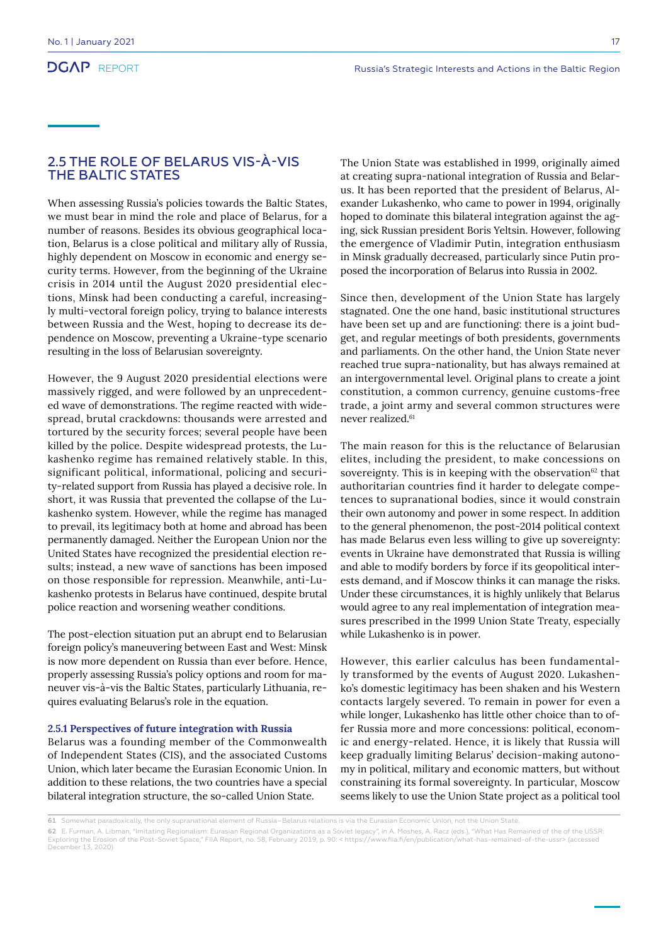### 2.5 THE ROLE OF BELARUS VIS-À-VIS THE BALTIC STATES

When assessing Russia's policies towards the Baltic States, we must bear in mind the role and place of Belarus, for a number of reasons. Besides its obvious geographical location, Belarus is a close political and military ally of Russia, highly dependent on Moscow in economic and energy security terms. However, from the beginning of the Ukraine crisis in 2014 until the August 2020 presidential elections, Minsk had been conducting a careful, increasingly multi-vectoral foreign policy, trying to balance interests between Russia and the West, hoping to decrease its dependence on Moscow, preventing a Ukraine-type scenario resulting in the loss of Belarusian sovereignty.

However, the 9 August 2020 presidential elections were massively rigged, and were followed by an unprecedented wave of demonstrations. The regime reacted with widespread, brutal crackdowns: thousands were arrested and tortured by the security forces; several people have been killed by the police. Despite widespread protests, the Lukashenko regime has remained relatively stable. In this, significant political, informational, policing and security-related support from Russia has played a decisive role. In short, it was Russia that prevented the collapse of the Lukashenko system. However, while the regime has managed to prevail, its legitimacy both at home and abroad has been permanently damaged. Neither the European Union nor the United States have recognized the presidential election results; instead, a new wave of sanctions has been imposed on those responsible for repression. Meanwhile, anti-Lukashenko protests in Belarus have continued, despite brutal police reaction and worsening weather conditions.

The post-election situation put an abrupt end to Belarusian foreign policy's maneuvering between East and West: Minsk is now more dependent on Russia than ever before. Hence, properly assessing Russia's policy options and room for maneuver vis-à-vis the Baltic States, particularly Lithuania, requires evaluating Belarus's role in the equation.

#### **2.5.1 Perspectives of future integration with Russia**

Belarus was a founding member of the Commonwealth of Independent States (CIS), and the associated Customs Union, which later became the Eurasian Economic Union. In addition to these relations, the two countries have a special bilateral integration structure, the so-called Union State.

The Union State was established in 1999, originally aimed at creating supra-national integration of Russia and Belarus. It has been reported that the president of Belarus, Alexander Lukashenko, who came to power in 1994, originally hoped to dominate this bilateral integration against the aging, sick Russian president Boris Yeltsin. However, following the emergence of Vladimir Putin, integration enthusiasm in Minsk gradually decreased, particularly since Putin proposed the incorporation of Belarus into Russia in 2002.

Since then, development of the Union State has largely stagnated. One the one hand, basic institutional structures have been set up and are functioning: there is a joint budget, and regular meetings of both presidents, governments and parliaments. On the other hand, the Union State never reached true supra-nationality, but has always remained at an intergovernmental level. Original plans to create a joint constitution, a common currency, genuine customs-free trade, a joint army and several common structures were never realized.<sup>61</sup>

The main reason for this is the reluctance of Belarusian elites, including the president, to make concessions on sovereignty. This is in keeping with the observation $62$  that authoritarian countries find it harder to delegate competences to supranational bodies, since it would constrain their own autonomy and power in some respect. In addition to the general phenomenon, the post-2014 political context has made Belarus even less willing to give up sovereignty: events in Ukraine have demonstrated that Russia is willing and able to modify borders by force if its geopolitical interests demand, and if Moscow thinks it can manage the risks. Under these circumstances, it is highly unlikely that Belarus would agree to any real implementation of integration measures prescribed in the 1999 Union State Treaty, especially while Lukashenko is in power.

However, this earlier calculus has been fundamentally transformed by the events of August 2020. Lukashenko's domestic legitimacy has been shaken and his Western contacts largely severed. To remain in power for even a while longer, Lukashenko has little other choice than to offer Russia more and more concessions: political, economic and energy-related. Hence, it is likely that Russia will keep gradually limiting Belarus' decision-making autonomy in political, military and economic matters, but without constraining its formal sovereignty. In particular, Moscow seems likely to use the Union State project as a political tool

**<sup>61</sup>** Somewhat paradoxically, the only supranational element of Russia–Belarus relations is via the Eurasian Economic Union, not the Union State.

**<sup>62</sup>** E. Furman, A. Libman, "Imitating Regionalism: Eurasian Regional Organizations as a Soviet legacy", in A. Moshes, A. Racz (eds.), "What Has Remained of the of the USSR: Exploring the Erosion of the Post-Soviet Space," FIIA Report, no. 58, February 2019, p. 90: < https://www.fiia.fi/en/publication/what-has-remained-of-the-ussr> (accessed December 13, 2020)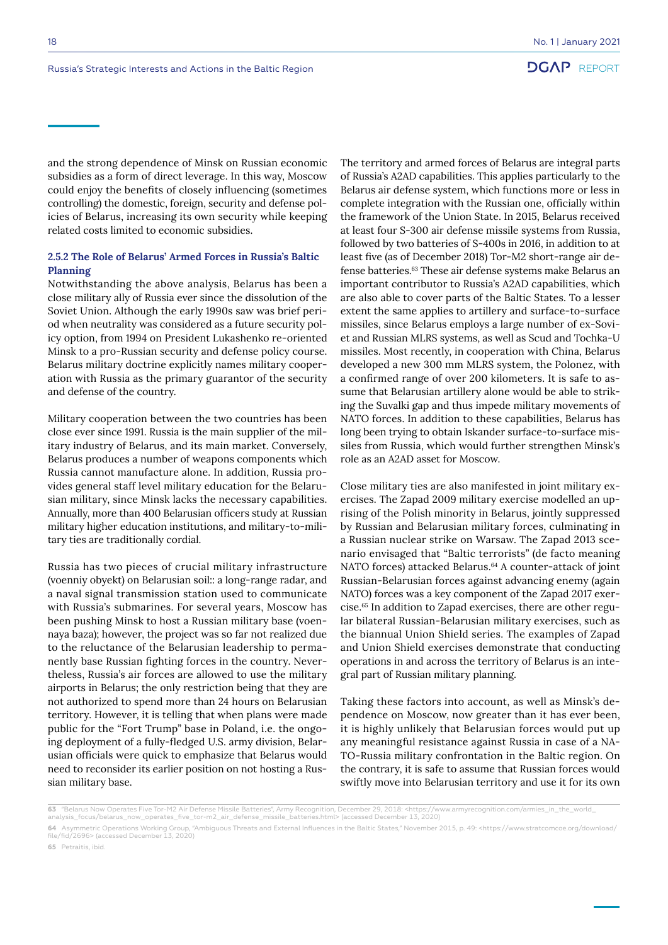and the strong dependence of Minsk on Russian economic subsidies as a form of direct leverage. In this way, Moscow could enjoy the benefits of closely influencing (sometimes controlling) the domestic, foreign, security and defense policies of Belarus, increasing its own security while keeping related costs limited to economic subsidies.

#### **2.5.2 The Role of Belarus' Armed Forces in Russia's Baltic Planning**

Notwithstanding the above analysis, Belarus has been a close military ally of Russia ever since the dissolution of the Soviet Union. Although the early 1990s saw was brief period when neutrality was considered as a future security policy option, from 1994 on President Lukashenko re-oriented Minsk to a pro-Russian security and defense policy course. Belarus military doctrine explicitly names military cooperation with Russia as the primary guarantor of the security and defense of the country.

Military cooperation between the two countries has been close ever since 1991. Russia is the main supplier of the military industry of Belarus, and its main market. Conversely, Belarus produces a number of weapons components which Russia cannot manufacture alone. In addition, Russia provides general staff level military education for the Belarusian military, since Minsk lacks the necessary capabilities. Annually, more than 400 Belarusian officers study at Russian military higher education institutions, and military-to-military ties are traditionally cordial.

Russia has two pieces of crucial military infrastructure (voenniy obyekt) on Belarusian soil:: a long-range radar, and a naval signal transmission station used to communicate with Russia's submarines. For several years, Moscow has been pushing Minsk to host a Russian military base (voennaya baza); however, the project was so far not realized due to the reluctance of the Belarusian leadership to permanently base Russian fighting forces in the country. Nevertheless, Russia's air forces are allowed to use the military airports in Belarus; the only restriction being that they are not authorized to spend more than 24 hours on Belarusian territory. However, it is telling that when plans were made public for the "Fort Trump" base in Poland, i.e. the ongoing deployment of a fully-fledged U.S. army division, Belarusian officials were quick to emphasize that Belarus would need to reconsider its earlier position on not hosting a Russian military base.

The territory and armed forces of Belarus are integral parts of Russia's A2AD capabilities. This applies particularly to the Belarus air defense system, which functions more or less in complete integration with the Russian one, officially within the framework of the Union State. In 2015, Belarus received at least four S-300 air defense missile systems from Russia, followed by two batteries of S-400s in 2016, in addition to at least five (as of December 2018) Tor-M2 short-range air defense batteries.63 These air defense systems make Belarus an important contributor to Russia's A2AD capabilities, which are also able to cover parts of the Baltic States. To a lesser extent the same applies to artillery and surface-to-surface missiles, since Belarus employs a large number of ex-Soviet and Russian MLRS systems, as well as Scud and Tochka-U missiles. Most recently, in cooperation with China, Belarus developed a new 300 mm MLRS system, the Polonez, with a confirmed range of over 200 kilometers. It is safe to assume that Belarusian artillery alone would be able to striking the Suvalki gap and thus impede military movements of NATO forces. In addition to these capabilities, Belarus has long been trying to obtain Iskander surface-to-surface missiles from Russia, which would further strengthen Minsk's role as an A2AD asset for Moscow.

Close military ties are also manifested in joint military exercises. The Zapad 2009 military exercise modelled an uprising of the Polish minority in Belarus, jointly suppressed by Russian and Belarusian military forces, culminating in a Russian nuclear strike on Warsaw. The Zapad 2013 scenario envisaged that "Baltic terrorists" (de facto meaning NATO forces) attacked Belarus.<sup>64</sup> A counter-attack of joint Russian-Belarusian forces against advancing enemy (again NATO) forces was a key component of the Zapad 2017 exercise.65 In addition to Zapad exercises, there are other regular bilateral Russian-Belarusian military exercises, such as the biannual Union Shield series. The examples of Zapad and Union Shield exercises demonstrate that conducting operations in and across the territory of Belarus is an integral part of Russian military planning.

Taking these factors into account, as well as Minsk's dependence on Moscow, now greater than it has ever been, it is highly unlikely that Belarusian forces would put up any meaningful resistance against Russia in case of a NA-TO-Russia military confrontation in the Baltic region. On the contrary, it is safe to assume that Russian forces would swiftly move into Belarusian territory and use it for its own

**<sup>63</sup>** "Belarus Now Operates Five Tor-M2 Air Defense Missile Batteries", Army Recognition, December 29, 2018: <https://www.armyrecognition.com/armies\_in\_the\_world\_

analysis\_focus/belarus\_now\_operates\_five\_tor-m2\_air\_defense\_missile\_batteries.html> (accessed December 13, 2020)

**<sup>64</sup>** Asymmetric Operations Working Group, "Ambiguous Threats and External Influences in the Baltic States," November 2015, p. 49: <https://www.stratcomcoe.org/download/<br>file/fid/2696> (accessed December 13, 2020)

**<sup>65</sup>** Petraitis, ibid.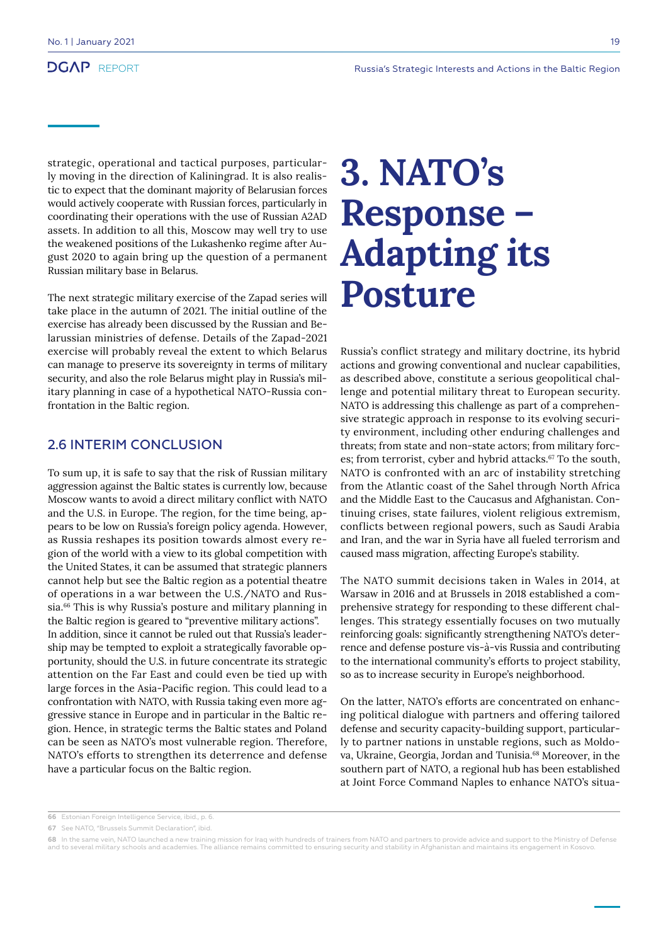strategic, operational and tactical purposes, particularly moving in the direction of Kaliningrad. It is also realistic to expect that the dominant majority of Belarusian forces would actively cooperate with Russian forces, particularly in coordinating their operations with the use of Russian A2AD assets. In addition to all this, Moscow may well try to use the weakened positions of the Lukashenko regime after August 2020 to again bring up the question of a permanent Russian military base in Belarus.

The next strategic military exercise of the Zapad series will take place in the autumn of 2021. The initial outline of the exercise has already been discussed by the Russian and Belarussian ministries of defense. Details of the Zapad-2021 exercise will probably reveal the extent to which Belarus can manage to preserve its sovereignty in terms of military security, and also the role Belarus might play in Russia's military planning in case of a hypothetical NATO-Russia confrontation in the Baltic region.

### 2.6 INTERIM CONCLUSION

To sum up, it is safe to say that the risk of Russian military aggression against the Baltic states is currently low, because Moscow wants to avoid a direct military conflict with NATO and the U.S. in Europe. The region, for the time being, appears to be low on Russia's foreign policy agenda. However, as Russia reshapes its position towards almost every region of the world with a view to its global competition with the United States, it can be assumed that strategic planners cannot help but see the Baltic region as a potential theatre of operations in a war between the U.S./NATO and Russia.<sup>66</sup> This is why Russia's posture and military planning in the Baltic region is geared to "preventive military actions". In addition, since it cannot be ruled out that Russia's leadership may be tempted to exploit a strategically favorable opportunity, should the U.S. in future concentrate its strategic attention on the Far East and could even be tied up with large forces in the Asia-Pacific region. This could lead to a confrontation with NATO, with Russia taking even more aggressive stance in Europe and in particular in the Baltic region. Hence, in strategic terms the Baltic states and Poland can be seen as NATO's most vulnerable region. Therefore, NATO's efforts to strengthen its deterrence and defense have a particular focus on the Baltic region.

## **3. NATO's Response – Adapting its Posture**

Russia's conflict strategy and military doctrine, its hybrid actions and growing conventional and nuclear capabilities, as described above, constitute a serious geopolitical challenge and potential military threat to European security. NATO is addressing this challenge as part of a comprehensive strategic approach in response to its evolving security environment, including other enduring challenges and threats; from state and non-state actors; from military forces; from terrorist, cyber and hybrid attacks.<sup>67</sup> To the south, NATO is confronted with an arc of instability stretching from the Atlantic coast of the Sahel through North Africa and the Middle East to the Caucasus and Afghanistan. Continuing crises, state failures, violent religious extremism, conflicts between regional powers, such as Saudi Arabia and Iran, and the war in Syria have all fueled terrorism and caused mass migration, affecting Europe's stability.

The NATO summit decisions taken in Wales in 2014, at Warsaw in 2016 and at Brussels in 2018 established a comprehensive strategy for responding to these different challenges. This strategy essentially focuses on two mutually reinforcing goals: significantly strengthening NATO's deterrence and defense posture vis-à-vis Russia and contributing to the international community's efforts to project stability, so as to increase security in Europe's neighborhood.

On the latter, NATO's efforts are concentrated on enhancing political dialogue with partners and offering tailored defense and security capacity-building support, particularly to partner nations in unstable regions, such as Moldova, Ukraine, Georgia, Jordan and Tunisia.<sup>68</sup> Moreover, in the southern part of NATO, a regional hub has been established at Joint Force Command Naples to enhance NATO's situa-

**<sup>66</sup>** Estonian Foreign Intelligence Service, ibid., p. 6.

**<sup>67</sup>** See NATO, "Brussels Summit Declaration", ibid.

**<sup>68</sup>** In the same vein, NATO launched a new training mission for Iraq with hundreds of trainers from NATO and partners to provide advice and support to the Ministry of Defense and to several military schools and academies. The alliance remains committed to ensuring security and stability in Afghanistan and maintains its engagement in Kosovo.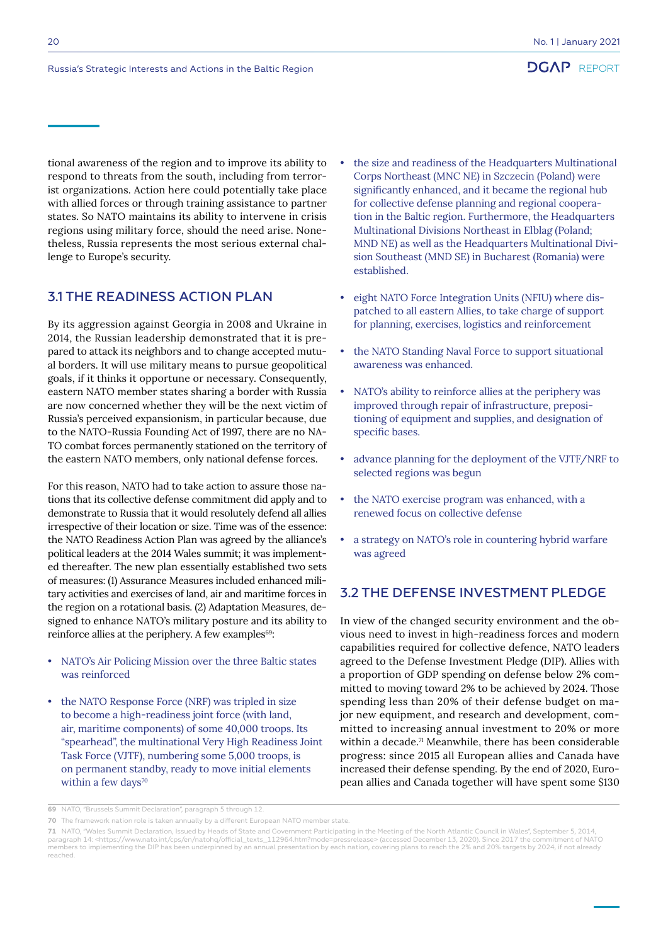tional awareness of the region and to improve its ability to respond to threats from the south, including from terrorist organizations. Action here could potentially take place with allied forces or through training assistance to partner states. So NATO maintains its ability to intervene in crisis regions using military force, should the need arise. Nonetheless, Russia represents the most serious external challenge to Europe's security.

### 3.1 THE READINESS ACTION PLAN

By its aggression against Georgia in 2008 and Ukraine in 2014, the Russian leadership demonstrated that it is prepared to attack its neighbors and to change accepted mutual borders. It will use military means to pursue geopolitical goals, if it thinks it opportune or necessary. Consequently, eastern NATO member states sharing a border with Russia are now concerned whether they will be the next victim of Russia's perceived expansionism, in particular because, due to the NATO-Russia Founding Act of 1997, there are no NA-TO combat forces permanently stationed on the territory of the eastern NATO members, only national defense forces.

For this reason, NATO had to take action to assure those nations that its collective defense commitment did apply and to demonstrate to Russia that it would resolutely defend all allies irrespective of their location or size. Time was of the essence: the NATO Readiness Action Plan was agreed by the alliance's political leaders at the 2014 Wales summit; it was implemented thereafter. The new plan essentially established two sets of measures: (1) Assurance Measures included enhanced military activities and exercises of land, air and maritime forces in the region on a rotational basis. (2) Adaptation Measures, designed to enhance NATO's military posture and its ability to reinforce allies at the periphery. A few examples<sup>69</sup>:

- NATO's Air Policing Mission over the three Baltic states was reinforced
- the NATO Response Force (NRF) was tripled in size to become a high-readiness joint force (with land, air, maritime components) of some 40,000 troops. Its "spearhead", the multinational Very High Readiness Joint Task Force (VJTF), numbering some 5,000 troops, is on permanent standby, ready to move initial elements within a few days<sup>70</sup>
- the size and readiness of the Headquarters Multinational Corps Northeast (MNC NE) in Szczecin (Poland) were significantly enhanced, and it became the regional hub for collective defense planning and regional cooperation in the Baltic region. Furthermore, the Headquarters Multinational Divisions Northeast in Elblag (Poland; MND NE) as well as the Headquarters Multinational Division Southeast (MND SE) in Bucharest (Romania) were established.
- eight NATO Force Integration Units (NFIU) where dispatched to all eastern Allies, to take charge of support for planning, exercises, logistics and reinforcement
- the NATO Standing Naval Force to support situational awareness was enhanced.
- NATO's ability to reinforce allies at the periphery was improved through repair of infrastructure, prepositioning of equipment and supplies, and designation of specific bases.
- advance planning for the deployment of the VJTF/NRF to selected regions was begun
- the NATO exercise program was enhanced, with a renewed focus on collective defense
- a strategy on NATO's role in countering hybrid warfare was agreed

## 3.2 THE DEFENSE INVESTMENT PLEDGE

In view of the changed security environment and the obvious need to invest in high-readiness forces and modern capabilities required for collective defence, NATO leaders agreed to the Defense Investment Pledge (DIP). Allies with a proportion of GDP spending on defense below 2% committed to moving toward 2% to be achieved by 2024. Those spending less than 20% of their defense budget on major new equipment, and research and development, committed to increasing annual investment to 20% or more within a decade.<sup>71</sup> Meanwhile, there has been considerable progress: since 2015 all European allies and Canada have increased their defense spending. By the end of 2020, European allies and Canada together will have spent some \$130

**<sup>69</sup>** NATO, "Brussels Summit Declaration", paragraph 5 through 12.

**<sup>70</sup>** The framework nation role is taken annually by a different European NATO member state.

**<sup>71</sup>** NATO, "Wales Summit Declaration, Issued by Heads of State and Government Participating in the Meeting of the North Atlantic Council in Wales", September 5, 2014,<br>paragraph 14: <https://www.nato.int/cps/en/natohq/off members to implementing the DIP has been underpinned by an annual presentation by each nation, covering plans to reach the 2% and 20% targets by 2024, if not already reached.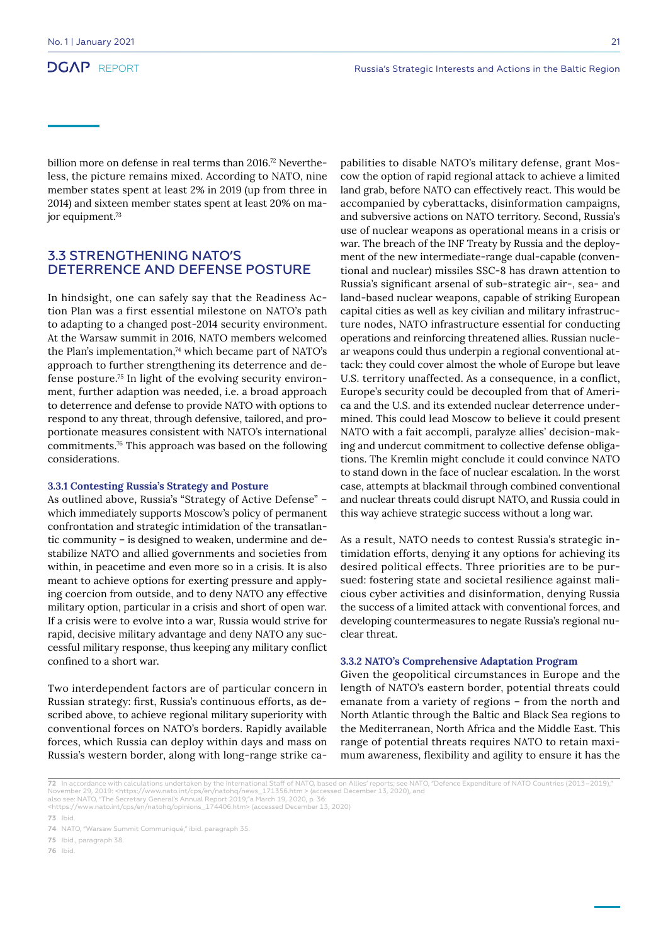billion more on defense in real terms than 2016.<sup>72</sup> Nevertheless, the picture remains mixed. According to NATO, nine member states spent at least 2% in 2019 (up from three in 2014) and sixteen member states spent at least 20% on major equipment.73

#### 3.3 STRENGTHENING NATO'S DETERRENCE AND DEFENSE POSTURE

In hindsight, one can safely say that the Readiness Action Plan was a first essential milestone on NATO's path to adapting to a changed post-2014 security environment. At the Warsaw summit in 2016, NATO members welcomed the Plan's implementation, $74$  which became part of NATO's approach to further strengthening its deterrence and defense posture.75 In light of the evolving security environment, further adaption was needed, i.e. a broad approach to deterrence and defense to provide NATO with options to respond to any threat, through defensive, tailored, and proportionate measures consistent with NATO's international commitments.76 This approach was based on the following considerations.

#### **3.3.1 Contesting Russia's Strategy and Posture**

As outlined above, Russia's "Strategy of Active Defense" – which immediately supports Moscow's policy of permanent confrontation and strategic intimidation of the transatlantic community – is designed to weaken, undermine and destabilize NATO and allied governments and societies from within, in peacetime and even more so in a crisis. It is also meant to achieve options for exerting pressure and applying coercion from outside, and to deny NATO any effective military option, particular in a crisis and short of open war. If a crisis were to evolve into a war, Russia would strive for rapid, decisive military advantage and deny NATO any successful military response, thus keeping any military conflict confined to a short war.

Two interdependent factors are of particular concern in Russian strategy: first, Russia's continuous efforts, as described above, to achieve regional military superiority with conventional forces on NATO's borders. Rapidly available forces, which Russia can deploy within days and mass on Russia's western border, along with long-range strike ca-

pabilities to disable NATO's military defense, grant Moscow the option of rapid regional attack to achieve a limited land grab, before NATO can effectively react. This would be accompanied by cyberattacks, disinformation campaigns, and subversive actions on NATO territory. Second, Russia's use of nuclear weapons as operational means in a crisis or war. The breach of the INF Treaty by Russia and the deployment of the new intermediate-range dual-capable (conventional and nuclear) missiles SSC-8 has drawn attention to Russia's significant arsenal of sub-strategic air-, sea- and land-based nuclear weapons, capable of striking European capital cities as well as key civilian and military infrastructure nodes, NATO infrastructure essential for conducting operations and reinforcing threatened allies. Russian nuclear weapons could thus underpin a regional conventional attack: they could cover almost the whole of Europe but leave U.S. territory unaffected. As a consequence, in a conflict, Europe's security could be decoupled from that of America and the U.S. and its extended nuclear deterrence undermined. This could lead Moscow to believe it could present NATO with a fait accompli, paralyze allies' decision-making and undercut commitment to collective defense obligations. The Kremlin might conclude it could convince NATO to stand down in the face of nuclear escalation. In the worst case, attempts at blackmail through combined conventional and nuclear threats could disrupt NATO, and Russia could in this way achieve strategic success without a long war.

As a result, NATO needs to contest Russia's strategic intimidation efforts, denying it any options for achieving its desired political effects. Three priorities are to be pursued: fostering state and societal resilience against malicious cyber activities and disinformation, denying Russia the success of a limited attack with conventional forces, and developing countermeasures to negate Russia's regional nuclear threat.

#### **3.3.2 NATO's Comprehensive Adaptation Program**

Given the geopolitical circumstances in Europe and the length of NATO's eastern border, potential threats could emanate from a variety of regions – from the north and North Atlantic through the Baltic and Black Sea regions to the Mediterranean, North Africa and the Middle East. This range of potential threats requires NATO to retain maximum awareness, flexibility and agility to ensure it has the

**<sup>72</sup>** In accordance with calculations undertaken by the International Staff of NATO, based on Allies' reports; see NATO, "Defence Expenditure of NATO Countries (2013–2019),"<br>November 29, 2019: <https://www.nato.int/cps/en/n also see: NATO, "The Secretary General's Annual Report 2019,"a March 19, 2020, p. 36:

<sup>&</sup>lt;https://www.nato.int/cps/en/natohq/opinions\_174406.htm> (accessed December 13, 2020)

**<sup>73</sup>** Ibid.

**<sup>74</sup>** NATO, "Warsaw Summit Communiqué," ibid. paragraph 35.

**<sup>75</sup>** Ibid., paragraph 38.

**<sup>76</sup>** Ibid.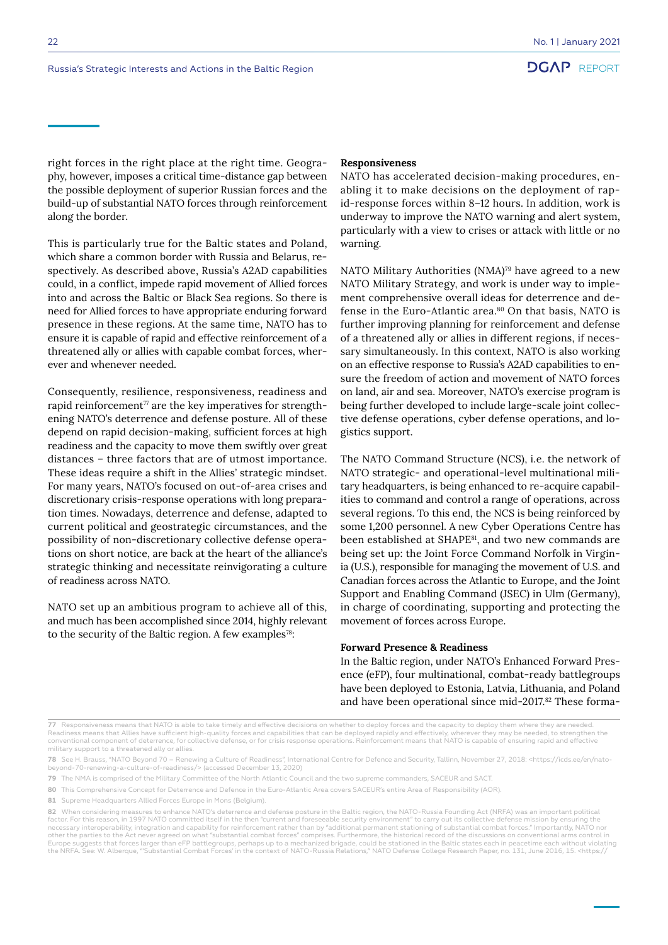right forces in the right place at the right time. Geography, however, imposes a critical time-distance gap between the possible deployment of superior Russian forces and the build-up of substantial NATO forces through reinforcement along the border.

This is particularly true for the Baltic states and Poland, which share a common border with Russia and Belarus, respectively. As described above, Russia's A2AD capabilities could, in a conflict, impede rapid movement of Allied forces into and across the Baltic or Black Sea regions. So there is need for Allied forces to have appropriate enduring forward presence in these regions. At the same time, NATO has to ensure it is capable of rapid and effective reinforcement of a threatened ally or allies with capable combat forces, wherever and whenever needed.

Consequently, resilience, responsiveness, readiness and rapid reinforcement<sup> $\pi$ </sup> are the key imperatives for strengthening NATO's deterrence and defense posture. All of these depend on rapid decision-making, sufficient forces at high readiness and the capacity to move them swiftly over great distances – three factors that are of utmost importance. These ideas require a shift in the Allies' strategic mindset. For many years, NATO's focused on out-of-area crises and discretionary crisis-response operations with long preparation times. Nowadays, deterrence and defense, adapted to current political and geostrategic circumstances, and the possibility of non-discretionary collective defense operations on short notice, are back at the heart of the alliance's strategic thinking and necessitate reinvigorating a culture of readiness across NATO.

NATO set up an ambitious program to achieve all of this, and much has been accomplished since 2014, highly relevant to the security of the Baltic region. A few examples<sup>78</sup>:

#### **Responsiveness**

NATO has accelerated decision-making procedures, enabling it to make decisions on the deployment of rapid-response forces within 8–12 hours. In addition, work is underway to improve the NATO warning and alert system, particularly with a view to crises or attack with little or no warning.

NATO Military Authorities (NMA)<sup>79</sup> have agreed to a new NATO Military Strategy, and work is under way to implement comprehensive overall ideas for deterrence and defense in the Euro-Atlantic area.<sup>80</sup> On that basis, NATO is further improving planning for reinforcement and defense of a threatened ally or allies in different regions, if necessary simultaneously. In this context, NATO is also working on an effective response to Russia's A2AD capabilities to ensure the freedom of action and movement of NATO forces on land, air and sea. Moreover, NATO's exercise program is being further developed to include large-scale joint collective defense operations, cyber defense operations, and logistics support.

The NATO Command Structure (NCS), i.e. the network of NATO strategic- and operational-level multinational military headquarters, is being enhanced to re-acquire capabilities to command and control a range of operations, across several regions. To this end, the NCS is being reinforced by some 1,200 personnel. A new Cyber Operations Centre has been established at SHAPE<sup>81</sup>, and two new commands are being set up: the Joint Force Command Norfolk in Virginia (U.S.), responsible for managing the movement of U.S. and Canadian forces across the Atlantic to Europe, and the Joint Support and Enabling Command (JSEC) in Ulm (Germany), in charge of coordinating, supporting and protecting the movement of forces across Europe.

#### **Forward Presence & Readiness**

In the Baltic region, under NATO's Enhanced Forward Presence (eFP), four multinational, combat-ready battlegroups have been deployed to Estonia, Latvia, Lithuania, and Poland and have been operational since mid-2017.82 These forma-

**77** Responsiveness means that NATO is able to take timely and effective decisions on whether to deploy forces and the capacity to deploy them where they are needed.<br>Readiness means that Allies have sufficient high-quality military support to a threatened ally or allies.

**78** See H. Brauss, "NATO Beyond 70 – Renewing a Culture of Readiness", International Centre for Defence and Security, Tallinn, November 27, 2018: <https://icds.ee/en/natobeyond-70-renewing-a-culture-of-readiness/> (accessed December 13, 2020)

**79** The NMA is comprised of the Military Committee of the North Atlantic Council and the two supreme commanders, SACEUR and SACT.

- **80** This Comprehensive Concept for Deterrence and Defence in the Euro-Atlantic Area covers SACEUR's entire Area of Responsibility (AOR).
- **81** Supreme Headquarters Allied Forces Europe in Mons (Belgium).

**82** When considering measures to enhance NATO's deterrence and defense posture in the Baltic region, the NATO-Russia Founding Act (NRFA) was an important political<br>factor. For this reason, in 1997 NATO committed itself in necessary interoperability, integration and capability for reinforcement rather than by "additional permanent stationing of substantial combat forces." Importantly, NATO nor other the parties to the Act never agreed on what "substantial combat forces" comprises. Furthermore, the historical record of the discussions on conventional arms control in<br>Europe suggests that forces larger than eFP bat recults that forces is than the Baltic states each in perhaps up to a mechanized brigade, could be stated by s the NRFA. See: W. Alberque, "'Substantial Combat Forces' in the context of NATO-Russia Relations," NATO Defense College Research Paper, no. 131, June 2016, 15. <https://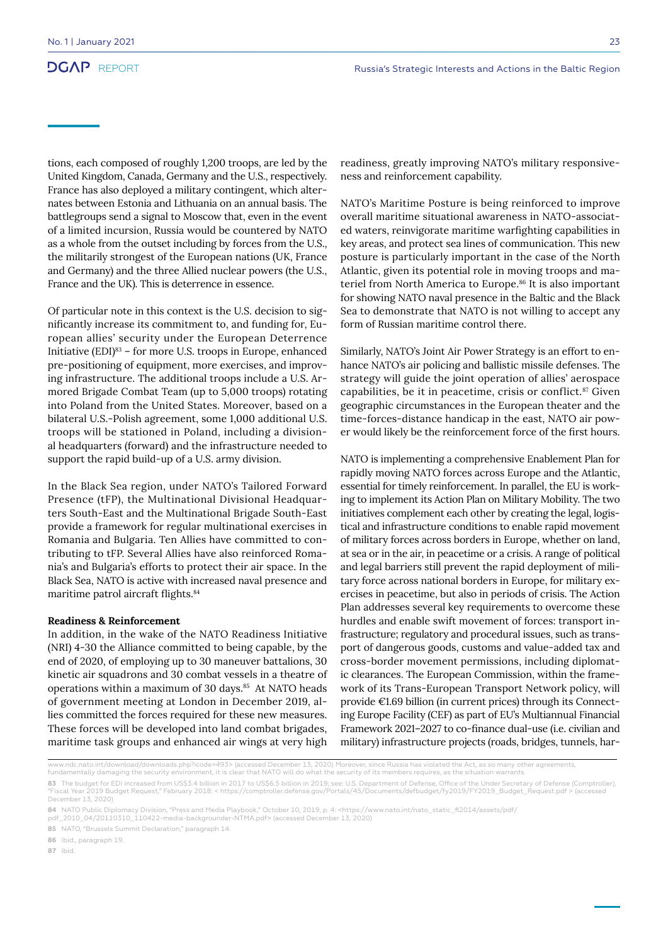tions, each composed of roughly 1,200 troops, are led by the United Kingdom, Canada, Germany and the U.S., respectively. France has also deployed a military contingent, which alternates between Estonia and Lithuania on an annual basis. The battlegroups send a signal to Moscow that, even in the event of a limited incursion, Russia would be countered by NATO as a whole from the outset including by forces from the U.S., the militarily strongest of the European nations (UK, France and Germany) and the three Allied nuclear powers (the U.S., France and the UK). This is deterrence in essence.

Of particular note in this context is the U.S. decision to significantly increase its commitment to, and funding for, European allies' security under the European Deterrence Initiative (EDI)83 – for more U.S. troops in Europe, enhanced pre-positioning of equipment, more exercises, and improving infrastructure. The additional troops include a U.S. Armored Brigade Combat Team (up to 5,000 troops) rotating into Poland from the United States. Moreover, based on a bilateral U.S.-Polish agreement, some 1,000 additional U.S. troops will be stationed in Poland, including a divisional headquarters (forward) and the infrastructure needed to support the rapid build-up of a U.S. army division.

In the Black Sea region, under NATO's Tailored Forward Presence (tFP), the Multinational Divisional Headquarters South-East and the Multinational Brigade South-East provide a framework for regular multinational exercises in Romania and Bulgaria. Ten Allies have committed to contributing to tFP. Several Allies have also reinforced Romania's and Bulgaria's efforts to protect their air space. In the Black Sea, NATO is active with increased naval presence and maritime patrol aircraft flights.<sup>84</sup>

#### **Readiness & Reinforcement**

In addition, in the wake of the NATO Readiness Initiative (NRI) 4-30 the Alliance committed to being capable, by the end of 2020, of employing up to 30 maneuver battalions, 30 kinetic air squadrons and 30 combat vessels in a theatre of operations within a maximum of 30 days.<sup>85</sup> At NATO heads of government meeting at London in December 2019, allies committed the forces required for these new measures. These forces will be developed into land combat brigades, maritime task groups and enhanced air wings at very high

readiness, greatly improving NATO's military responsiveness and reinforcement capability.

NATO's Maritime Posture is being reinforced to improve overall maritime situational awareness in NATO-associated waters, reinvigorate maritime warfighting capabilities in key areas, and protect sea lines of communication. This new posture is particularly important in the case of the North Atlantic, given its potential role in moving troops and materiel from North America to Europe.<sup>86</sup> It is also important for showing NATO naval presence in the Baltic and the Black Sea to demonstrate that NATO is not willing to accept any form of Russian maritime control there.

Similarly, NATO's Joint Air Power Strategy is an effort to enhance NATO's air policing and ballistic missile defenses. The strategy will guide the joint operation of allies' aerospace capabilities, be it in peacetime, crisis or conflict.87 Given geographic circumstances in the European theater and the time-forces-distance handicap in the east, NATO air power would likely be the reinforcement force of the first hours.

NATO is implementing a comprehensive Enablement Plan for rapidly moving NATO forces across Europe and the Atlantic, essential for timely reinforcement. In parallel, the EU is working to implement its Action Plan on Military Mobility. The two initiatives complement each other by creating the legal, logistical and infrastructure conditions to enable rapid movement of military forces across borders in Europe, whether on land, at sea or in the air, in peacetime or a crisis. A range of political and legal barriers still prevent the rapid deployment of military force across national borders in Europe, for military exercises in peacetime, but also in periods of crisis. The Action Plan addresses several key requirements to overcome these hurdles and enable swift movement of forces: transport infrastructure; regulatory and procedural issues, such as transport of dangerous goods, customs and value-added tax and cross-border movement permissions, including diplomatic clearances. The European Commission, within the framework of its Trans-European Transport Network policy, will provide €1.69 billion (in current prices) through its Connecting Europe Facility (CEF) as part of EU's Multiannual Financial Framework 2021–2027 to co-finance dual-use (i.e. civilian and military) infrastructure projects (roads, bridges, tunnels, har-

**86** Ibid., paragraph 19.

www.ndc.nato.int/download/downloads.php?icode=493> (accessed December 13, 2020) Moreover, since Russia has violated the Act, as so many other agreements,

fundamentally damaging the security environment, it is clear that NATO will do what the security of its members requires, as the situation warrants.

**<sup>83</sup>** The budget for EDI increased from US\$3.4 billion in 2017 to US\$6.5 billion in 2019; see: U.S. Department of Defense, Office of the Under Secretary of Defense (Comptroller),<br>"Fiscal Year 2019 Budget Request," February December 13, 2020)

**<sup>84</sup>** NATO Public Diplomacy Division, "Press and Media Playbook," October 10, 2019, p. 4: <https://www.nato.int/nato\_static\_fl2014/assets/pdf/<br>pdf\_2010\_04/20110310\_110422-media-backgrounder-NTMA.pdf> (accessed December 1

**<sup>85</sup>** NATO, "Brussels Summit Declaration," paragraph 14.

**<sup>87</sup>** Ibid.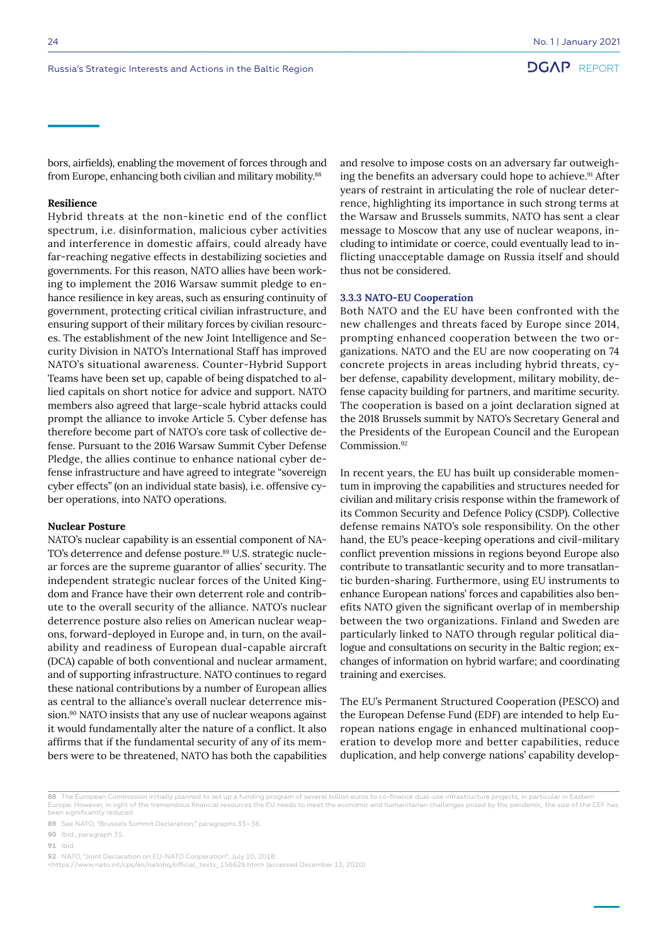bors, airfields), enabling the movement of forces through and from Europe, enhancing both civilian and military mobility.<sup>88</sup>

#### **Resilience**

Hybrid threats at the non-kinetic end of the conflict spectrum, i.e. disinformation, malicious cyber activities and interference in domestic affairs, could already have far-reaching negative effects in destabilizing societies and governments. For this reason, NATO allies have been working to implement the 2016 Warsaw summit pledge to enhance resilience in key areas, such as ensuring continuity of government, protecting critical civilian infrastructure, and ensuring support of their military forces by civilian resources. The establishment of the new Joint Intelligence and Security Division in NATO's International Staff has improved NATO's situational awareness. Counter-Hybrid Support Teams have been set up, capable of being dispatched to allied capitals on short notice for advice and support. NATO members also agreed that large-scale hybrid attacks could prompt the alliance to invoke Article 5. Cyber defense has therefore become part of NATO's core task of collective defense. Pursuant to the 2016 Warsaw Summit Cyber Defense Pledge, the allies continue to enhance national cyber defense infrastructure and have agreed to integrate "sovereign cyber effects" (on an individual state basis), i.e. offensive cyber operations, into NATO operations.

#### **Nuclear Posture**

NATO's nuclear capability is an essential component of NA-TO's deterrence and defense posture.<sup>89</sup> U.S. strategic nuclear forces are the supreme guarantor of allies' security. The independent strategic nuclear forces of the United Kingdom and France have their own deterrent role and contribute to the overall security of the alliance. NATO's nuclear deterrence posture also relies on American nuclear weapons, forward-deployed in Europe and, in turn, on the availability and readiness of European dual-capable aircraft (DCA) capable of both conventional and nuclear armament, and of supporting infrastructure. NATO continues to regard these national contributions by a number of European allies as central to the alliance's overall nuclear deterrence mission.<sup>90</sup> NATO insists that any use of nuclear weapons against it would fundamentally alter the nature of a conflict. It also affirms that if the fundamental security of any of its members were to be threatened, NATO has both the capabilities

and resolve to impose costs on an adversary far outweighing the benefits an adversary could hope to achieve.<sup>91</sup> After years of restraint in articulating the role of nuclear deterrence, highlighting its importance in such strong terms at the Warsaw and Brussels summits, NATO has sent a clear message to Moscow that any use of nuclear weapons, including to intimidate or coerce, could eventually lead to inflicting unacceptable damage on Russia itself and should thus not be considered.

#### **3.3.3 NATO-EU Cooperation**

Both NATO and the EU have been confronted with the new challenges and threats faced by Europe since 2014, prompting enhanced cooperation between the two organizations. NATO and the EU are now cooperating on 74 concrete projects in areas including hybrid threats, cyber defense, capability development, military mobility, defense capacity building for partners, and maritime security. The cooperation is based on a joint declaration signed at the 2018 Brussels summit by NATO's Secretary General and the Presidents of the European Council and the European Commission.<sup>92</sup>

In recent years, the EU has built up considerable momentum in improving the capabilities and structures needed for civilian and military crisis response within the framework of its Common Security and Defence Policy (CSDP). Collective defense remains NATO's sole responsibility. On the other hand, the EU's peace-keeping operations and civil-military conflict prevention missions in regions beyond Europe also contribute to transatlantic security and to more transatlantic burden-sharing. Furthermore, using EU instruments to enhance European nations' forces and capabilities also benefits NATO given the significant overlap of in membership between the two organizations. Finland and Sweden are particularly linked to NATO through regular political dialogue and consultations on security in the Baltic region; exchanges of information on hybrid warfare; and coordinating training and exercises.

The EU's Permanent Structured Cooperation (PESCO) and the European Defense Fund (EDF) are intended to help European nations engage in enhanced multinational cooperation to develop more and better capabilities, reduce duplication, and help converge nations' capability develop-

**<sup>88</sup>** The European Commission initially planned to set up a funding program of several billion euros to co-finance dual-use infrastructure projects, in particular in Eastern<br>Europe. However, in light of the tremendous fina been significantly reduced

**<sup>89</sup>** See NATO, "Brussels Summit Declaration," paragraphs 33–36.

**<sup>90</sup>** Ibid., paragraph 35.

**<sup>91</sup>** Ibid.

**<sup>92</sup>** NATO, "Joint Declaration on EU-NATO Cooperation", July 10, 2018:

<sup>&</sup>lt;https://www.nato.int/cps/en/natohq/official\_texts\_156626.htm> (accessed December 13, 2020)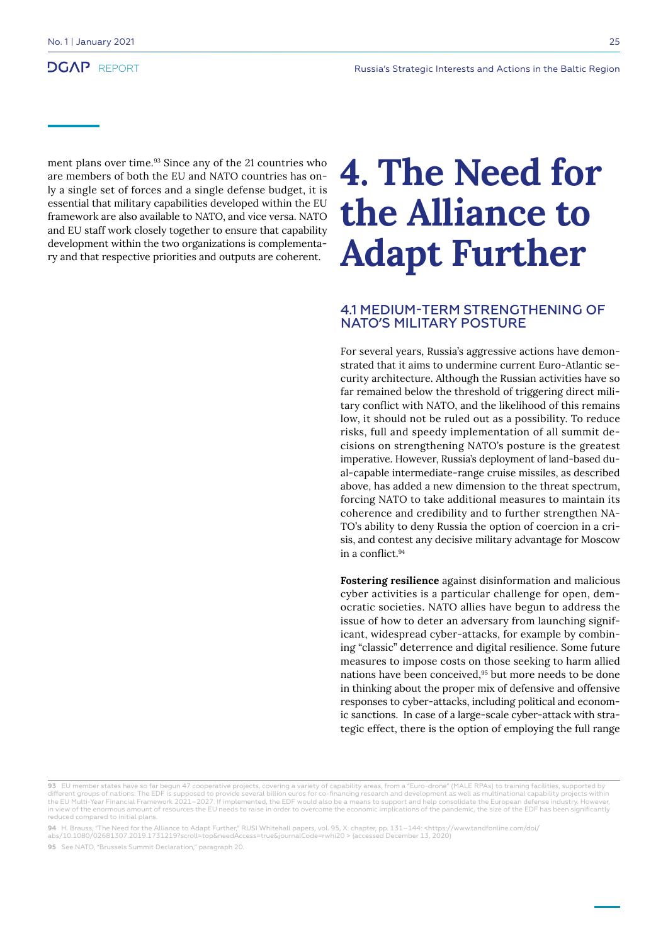ment plans over time.<sup>93</sup> Since any of the 21 countries who are members of both the EU and NATO countries has only a single set of forces and a single defense budget, it is essential that military capabilities developed within the EU framework are also available to NATO, and vice versa. NATO and EU staff work closely together to ensure that capability development within the two organizations is complementary and that respective priorities and outputs are coherent.

## **4. The Need for the Alliance to Adapt Further**

#### 4.1 MEDIUM-TERM STRENGTHENING OF NATO'S MILITARY POSTURE

For several years, Russia's aggressive actions have demonstrated that it aims to undermine current Euro-Atlantic security architecture. Although the Russian activities have so far remained below the threshold of triggering direct military conflict with NATO, and the likelihood of this remains low, it should not be ruled out as a possibility. To reduce risks, full and speedy implementation of all summit decisions on strengthening NATO's posture is the greatest imperative. However, Russia's deployment of land-based dual-capable intermediate-range cruise missiles, as described above, has added a new dimension to the threat spectrum, forcing NATO to take additional measures to maintain its coherence and credibility and to further strengthen NA-TO's ability to deny Russia the option of coercion in a crisis, and contest any decisive military advantage for Moscow in a conflict.<sup>94</sup>

**Fostering resilience** against disinformation and malicious cyber activities is a particular challenge for open, democratic societies. NATO allies have begun to address the issue of how to deter an adversary from launching significant, widespread cyber-attacks, for example by combining "classic" deterrence and digital resilience. Some future measures to impose costs on those seeking to harm allied nations have been conceived,<sup>95</sup> but more needs to be done in thinking about the proper mix of defensive and offensive responses to cyber-attacks, including political and economic sanctions. In case of a large-scale cyber-attack with strategic effect, there is the option of employing the full range

**<sup>93</sup>** EU member states have so far begun 47 cooperative projects, covering a variety of capability areas, from a "Euro-drone" (MALE RPAs) to training facilities, supported by different groups of nations. The EDF is supposed to provide several billion euros for co-financing research and development as well as multinational capability projects within euros for co-financing research and developmen the EU Multi-Year Financial Framework 2021–2027. If implemented, the EDF would also be a means to support and help consolidate the European defense industry. However, in view of the enormous amount of resources the EU needs to raise in order to overcome the economic implications of the pandemic, the size of the EDF has been significantly reduced compared to initial plans.

<sup>94</sup> H. Brauss, "The Need for the Alliance to Adapt Further," RUSI Whitehall papers, vol. 95, X. chapter, pp. 131–144: <https://www.tandfonline.com/doi/<br>abs/10.1080/02681307.2019.1731219?scroll=top&needAccess=true&journalC

**<sup>95</sup>** See NATO, "Brussels Summit Declaration," paragraph 20.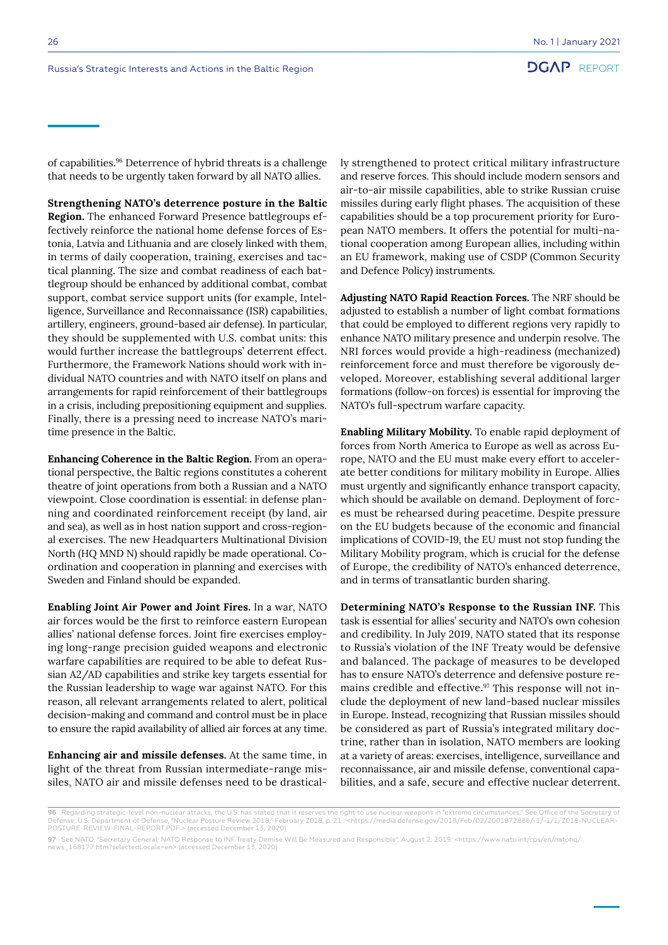of capabilities.96 Deterrence of hybrid threats is a challenge that needs to be urgently taken forward by all NATO allies.

**Strengthening NATO's deterrence posture in the Baltic Region.** The enhanced Forward Presence battlegroups effectively reinforce the national home defense forces of Estonia, Latvia and Lithuania and are closely linked with them, in terms of daily cooperation, training, exercises and tactical planning. The size and combat readiness of each battlegroup should be enhanced by additional combat, combat support, combat service support units (for example, Intelligence, Surveillance and Reconnaissance (ISR) capabilities, artillery, engineers, ground-based air defense). In particular, they should be supplemented with U.S. combat units: this would further increase the battlegroups' deterrent effect. Furthermore, the Framework Nations should work with individual NATO countries and with NATO itself on plans and arrangements for rapid reinforcement of their battlegroups in a crisis, including prepositioning equipment and supplies. Finally, there is a pressing need to increase NATO's maritime presence in the Baltic.

**Enhancing Coherence in the Baltic Region.** From an operational perspective, the Baltic regions constitutes a coherent theatre of joint operations from both a Russian and a NATO viewpoint. Close coordination is essential: in defense planning and coordinated reinforcement receipt (by land, air and sea), as well as in host nation support and cross-regional exercises. The new Headquarters Multinational Division North (HQ MND N) should rapidly be made operational. Coordination and cooperation in planning and exercises with Sweden and Finland should be expanded.

**Enabling Joint Air Power and Joint Fires.** In a war, NATO air forces would be the first to reinforce eastern European allies' national defense forces. Joint fire exercises employing long-range precision guided weapons and electronic warfare capabilities are required to be able to defeat Russian A2/AD capabilities and strike key targets essential for the Russian leadership to wage war against NATO. For this reason, all relevant arrangements related to alert, political decision-making and command and control must be in place to ensure the rapid availability of allied air forces at any time.

**Enhancing air and missile defenses.** At the same time, in light of the threat from Russian intermediate-range missiles, NATO air and missile defenses need to be drastically strengthened to protect critical military infrastructure and reserve forces. This should include modern sensors and air-to-air missile capabilities, able to strike Russian cruise missiles during early flight phases. The acquisition of these capabilities should be a top procurement priority for European NATO members. It offers the potential for multi-national cooperation among European allies, including within an EU framework, making use of CSDP (Common Security and Defence Policy) instruments.

**Adjusting NATO Rapid Reaction Forces.** The NRF should be adjusted to establish a number of light combat formations that could be employed to different regions very rapidly to enhance NATO military presence and underpin resolve. The NRI forces would provide a high-readiness (mechanized) reinforcement force and must therefore be vigorously developed. Moreover, establishing several additional larger formations (follow-on forces) is essential for improving the NATO's full-spectrum warfare capacity.

**Enabling Military Mobility.** To enable rapid deployment of forces from North America to Europe as well as across Europe, NATO and the EU must make every effort to accelerate better conditions for military mobility in Europe. Allies must urgently and significantly enhance transport capacity, which should be available on demand. Deployment of forces must be rehearsed during peacetime. Despite pressure on the EU budgets because of the economic and financial implications of COVID-19, the EU must not stop funding the Military Mobility program, which is crucial for the defense of Europe, the credibility of NATO's enhanced deterrence, and in terms of transatlantic burden sharing.

**Determining NATO's Response to the Russian INF.** This task is essential for allies' security and NATO's own cohesion and credibility. In July 2019, NATO stated that its response to Russia's violation of the INF Treaty would be defensive and balanced. The package of measures to be developed has to ensure NATO's deterrence and defensive posture remains credible and effective.<sup>97</sup> This response will not include the deployment of new land-based nuclear missiles in Europe. Instead, recognizing that Russian missiles should be considered as part of Russia's integrated military doctrine, rather than in isolation, NATO members are looking at a variety of areas: exercises, intelligence, surveillance and reconnaissance, air and missile defense, conventional capabilities, and a safe, secure and effective nuclear deterrent.

**<sup>96</sup>** Regarding strategic-level non-nuclear attacks, the U.S. has stated that it reserves the right to use nuclear weapons in "extreme circumstances." See Office of the Secretary of<br>Defense U.S. Department of Defense "Nucle Defense, U.S. Department of Defense, "Nuclear Posture Review 2018," February 2018, p. 21.: <https://media.defense.gov/2018/Feb/02/2001872886/-1/-1/1/2018-NUCLEAR-POSTURE-REVIEW-FINAL-REPORT.PDF > (accessed December 13, 2020)

**<sup>97</sup>** See NATO, "Secretary General: NATO Response to INF Treaty Demise Will Be Measured and Responsible", August 2, 2019: <https://www.nato.int/cps/en/natohq/ news\_168177.htm?selectedLocale=en> (accessed December 13, 2020)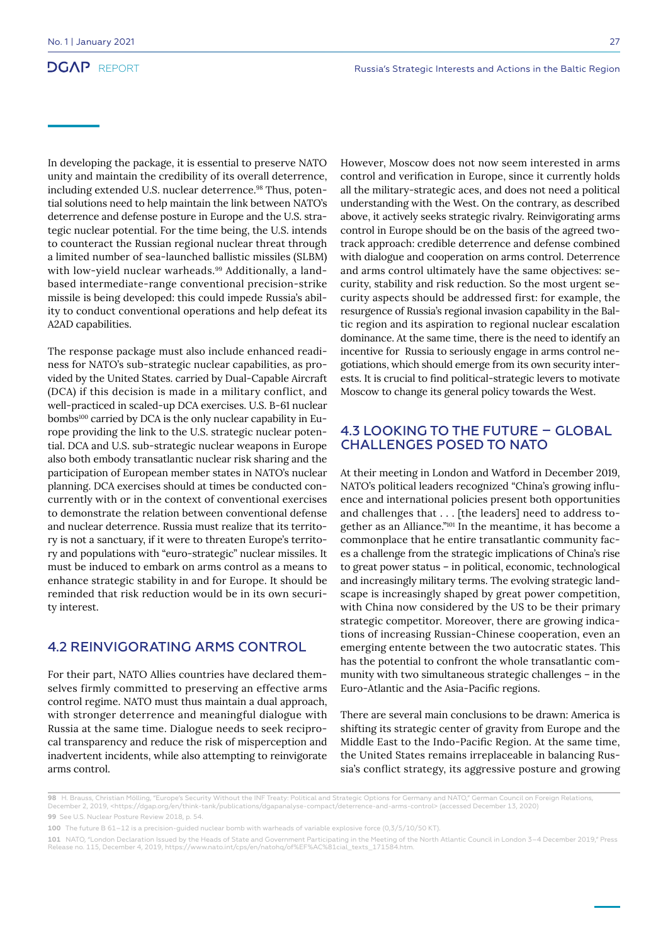In developing the package, it is essential to preserve NATO unity and maintain the credibility of its overall deterrence, including extended U.S. nuclear deterrence.<sup>98</sup> Thus, potential solutions need to help maintain the link between NATO's deterrence and defense posture in Europe and the U.S. strategic nuclear potential. For the time being, the U.S. intends to counteract the Russian regional nuclear threat through a limited number of sea-launched ballistic missiles (SLBM) with low-yield nuclear warheads.<sup>99</sup> Additionally, a landbased intermediate-range conventional precision-strike missile is being developed: this could impede Russia's ability to conduct conventional operations and help defeat its A2AD capabilities.

The response package must also include enhanced readiness for NATO's sub-strategic nuclear capabilities, as provided by the United States. carried by Dual-Capable Aircraft (DCA) if this decision is made in a military conflict, and well-practiced in scaled-up DCA exercises. U.S. B-61 nuclear bombs<sup>100</sup> carried by DCA is the only nuclear capability in Europe providing the link to the U.S. strategic nuclear potential. DCA and U.S. sub-strategic nuclear weapons in Europe also both embody transatlantic nuclear risk sharing and the participation of European member states in NATO's nuclear planning. DCA exercises should at times be conducted concurrently with or in the context of conventional exercises to demonstrate the relation between conventional defense and nuclear deterrence. Russia must realize that its territory is not a sanctuary, if it were to threaten Europe's territory and populations with "euro-strategic" nuclear missiles. It must be induced to embark on arms control as a means to enhance strategic stability in and for Europe. It should be reminded that risk reduction would be in its own security interest.

### 4.2 REINVIGORATING ARMS CONTROL

For their part, NATO Allies countries have declared themselves firmly committed to preserving an effective arms control regime. NATO must thus maintain a dual approach, with stronger deterrence and meaningful dialogue with Russia at the same time. Dialogue needs to seek reciprocal transparency and reduce the risk of misperception and inadvertent incidents, while also attempting to reinvigorate arms control.

However, Moscow does not now seem interested in arms control and verification in Europe, since it currently holds all the military-strategic aces, and does not need a political understanding with the West. On the contrary, as described above, it actively seeks strategic rivalry. Reinvigorating arms control in Europe should be on the basis of the agreed twotrack approach: credible deterrence and defense combined with dialogue and cooperation on arms control. Deterrence and arms control ultimately have the same objectives: security, stability and risk reduction. So the most urgent security aspects should be addressed first: for example, the resurgence of Russia's regional invasion capability in the Baltic region and its aspiration to regional nuclear escalation dominance. At the same time, there is the need to identify an incentive for Russia to seriously engage in arms control negotiations, which should emerge from its own security interests. It is crucial to find political-strategic levers to motivate Moscow to change its general policy towards the West.

#### 4.3 LOOKING TO THE FUTURE – GLOBAL CHALLENGES POSED TO NATO

At their meeting in London and Watford in December 2019, NATO's political leaders recognized "China's growing influence and international policies present both opportunities and challenges that . . . [the leaders] need to address together as an Alliance."101 In the meantime, it has become a commonplace that he entire transatlantic community faces a challenge from the strategic implications of China's rise to great power status – in political, economic, technological and increasingly military terms. The evolving strategic landscape is increasingly shaped by great power competition, with China now considered by the US to be their primary strategic competitor. Moreover, there are growing indications of increasing Russian-Chinese cooperation, even an emerging entente between the two autocratic states. This has the potential to confront the whole transatlantic community with two simultaneous strategic challenges – in the Euro-Atlantic and the Asia-Pacific regions.

There are several main conclusions to be drawn: America is shifting its strategic center of gravity from Europe and the Middle East to the Indo-Pacific Region. At the same time, the United States remains irreplaceable in balancing Russia's conflict strategy, its aggressive posture and growing

**<sup>98</sup>** H. Brauss, Christian Mölling, "Europe's Security Without the INF Treaty: Political and Strategic Options for Germany and NATO," German Council on Foreign Relations,<br>December 2, 2019, <https://dgap.org/en/think-tank/p **99** See U.S. Nuclear Posture Review 2018, p. 54.

**<sup>100</sup>** The future B 61–12 is a precision-guided nuclear bomb with warheads of variable explosive force (0,3/5/10/50 KT).

**<sup>101</sup>** NATO, "London Declaration Issued by the Heads of State and Government Participating in the Meeting of the North Atlantic Council in London 3–4 December 2019," Press Release no. 115, December 4, 2019, https://www.nato.int/cps/en/natohq/of%EF%AC%81cial\_texts\_171584.htm.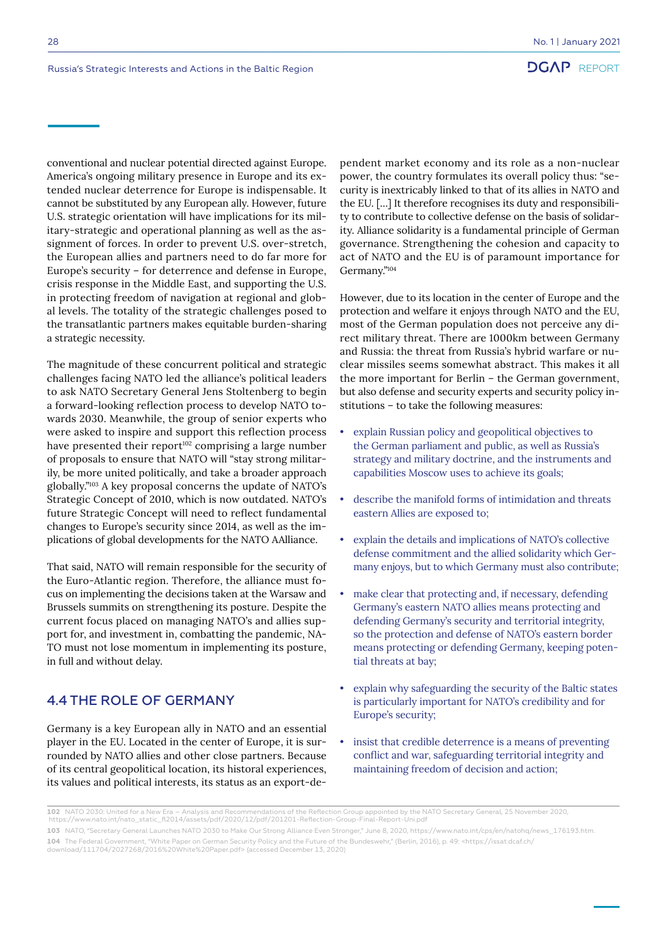conventional and nuclear potential directed against Europe. America's ongoing military presence in Europe and its extended nuclear deterrence for Europe is indispensable. It cannot be substituted by any European ally. However, future U.S. strategic orientation will have implications for its military-strategic and operational planning as well as the assignment of forces. In order to prevent U.S. over-stretch, the European allies and partners need to do far more for Europe's security – for deterrence and defense in Europe, crisis response in the Middle East, and supporting the U.S. in protecting freedom of navigation at regional and global levels. The totality of the strategic challenges posed to the transatlantic partners makes equitable burden-sharing a strategic necessity.

The magnitude of these concurrent political and strategic challenges facing NATO led the alliance's political leaders to ask NATO Secretary General Jens Stoltenberg to begin a forward-looking reflection process to develop NATO towards 2030. Meanwhile, the group of senior experts who were asked to inspire and support this reflection process have presented their report<sup>102</sup> comprising a large number of proposals to ensure that NATO will "stay strong militarily, be more united politically, and take a broader approach globally."103 A key proposal concerns the update of NATO's Strategic Concept of 2010, which is now outdated. NATO's future Strategic Concept will need to reflect fundamental changes to Europe's security since 2014, as well as the implications of global developments for the NATO AAlliance.

That said, NATO will remain responsible for the security of the Euro-Atlantic region. Therefore, the alliance must focus on implementing the decisions taken at the Warsaw and Brussels summits on strengthening its posture. Despite the current focus placed on managing NATO's and allies support for, and investment in, combatting the pandemic, NA-TO must not lose momentum in implementing its posture, in full and without delay.

### 4.4 THE ROLE OF GERMANY

Germany is a key European ally in NATO and an essential player in the EU. Located in the center of Europe, it is surrounded by NATO allies and other close partners. Because of its central geopolitical location, its historal experiences, its values and political interests, its status as an export-dependent market economy and its role as a non-nuclear power, the country formulates its overall policy thus: "security is inextricably linked to that of its allies in NATO and the EU. […] It therefore recognises its duty and responsibility to contribute to collective defense on the basis of solidarity. Alliance solidarity is a fundamental principle of German governance. Strengthening the cohesion and capacity to act of NATO and the EU is of paramount importance for Germany."104

However, due to its location in the center of Europe and the protection and welfare it enjoys through NATO and the EU, most of the German population does not perceive any direct military threat. There are 1000km between Germany and Russia: the threat from Russia's hybrid warfare or nuclear missiles seems somewhat abstract. This makes it all the more important for Berlin – the German government, but also defense and security experts and security policy institutions – to take the following measures:

- explain Russian policy and geopolitical objectives to the German parliament and public, as well as Russia's strategy and military doctrine, and the instruments and capabilities Moscow uses to achieve its goals;
- describe the manifold forms of intimidation and threats eastern Allies are exposed to;
- explain the details and implications of NATO's collective defense commitment and the allied solidarity which Germany enjoys, but to which Germany must also contribute;
- make clear that protecting and, if necessary, defending Germany's eastern NATO allies means protecting and defending Germany's security and territorial integrity, so the protection and defense of NATO's eastern border means protecting or defending Germany, keeping potential threats at bay;
- explain why safeguarding the security of the Baltic states is particularly important for NATO's credibility and for Europe's security;
- insist that credible deterrence is a means of preventing conflict and war, safeguarding territorial integrity and maintaining freedom of decision and action;

**<sup>102</sup>** NATO 2030: United for a New Era – Analysis and Recommendations of the Reflection Group appointed by the NATO Secretary General, 25 November 2020, https://www.nato.int/nato\_static\_fl2014/assets/pdf/2020/12/pdf/201201-Reflection-Group-Final-Report-Uni.pdf

**<sup>103</sup>** NATO, "Secretary General Launches NATO 2030 to Make Our Strong Alliance Even Stronger," June 8, 2020, https://www.nato.int/cps/en/natohq/news\_176193.htm. **104** The Federal Government, "White Paper on German Security Policy and the Future of the Bundeswehr," (Berlin, 2016), p. 49: <https://issat.dcaf.ch/ download/111704/2027268/2016%20White%20Paper.pdf> (accessed December 13, 2020)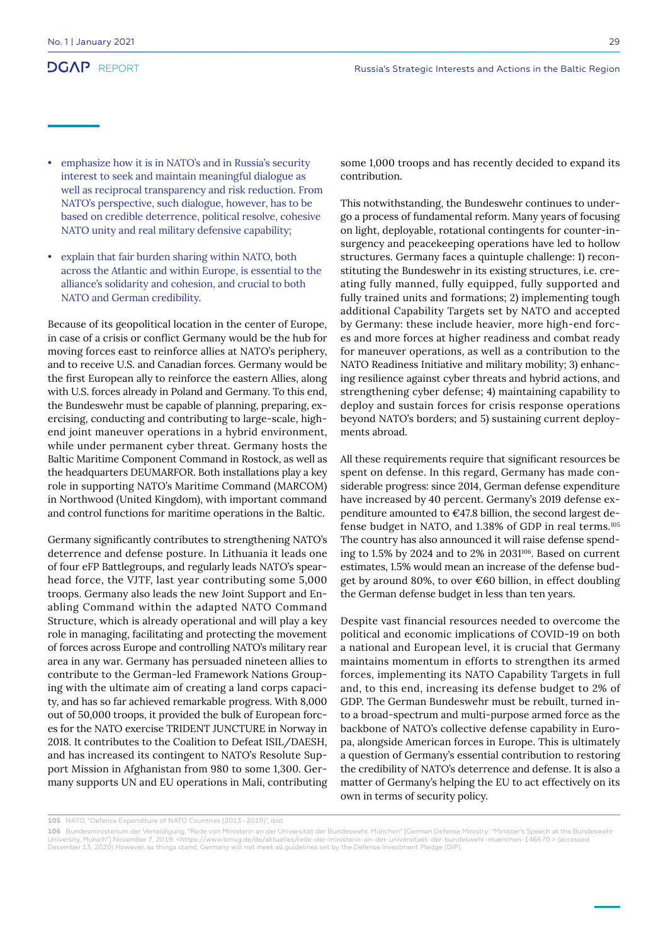- emphasize how it is in NATO's and in Russia's security interest to seek and maintain meaningful dialogue as well as reciprocal transparency and risk reduction. From NATO's perspective, such dialogue, however, has to be based on credible deterrence, political resolve, cohesive NATO unity and real military defensive capability;
- explain that fair burden sharing within NATO, both across the Atlantic and within Europe, is essential to the alliance's solidarity and cohesion, and crucial to both NATO and German credibility.

Because of its geopolitical location in the center of Europe, in case of a crisis or conflict Germany would be the hub for moving forces east to reinforce allies at NATO's periphery, and to receive U.S. and Canadian forces. Germany would be the first European ally to reinforce the eastern Allies, along with U.S. forces already in Poland and Germany. To this end, the Bundeswehr must be capable of planning, preparing, exercising, conducting and contributing to large-scale, highend joint maneuver operations in a hybrid environment, while under permanent cyber threat. Germany hosts the Baltic Maritime Component Command in Rostock, as well as the headquarters DEUMARFOR. Both installations play a key role in supporting NATO's Maritime Command (MARCOM) in Northwood (United Kingdom), with important command and control functions for maritime operations in the Baltic.

Germany significantly contributes to strengthening NATO's deterrence and defense posture. In Lithuania it leads one of four eFP Battlegroups, and regularly leads NATO's spearhead force, the VJTF, last year contributing some 5,000 troops. Germany also leads the new Joint Support and Enabling Command within the adapted NATO Command Structure, which is already operational and will play a key role in managing, facilitating and protecting the movement of forces across Europe and controlling NATO's military rear area in any war. Germany has persuaded nineteen allies to contribute to the German-led Framework Nations Grouping with the ultimate aim of creating a land corps capacity, and has so far achieved remarkable progress. With 8,000 out of 50,000 troops, it provided the bulk of European forces for the NATO exercise TRIDENT JUNCTURE in Norway in 2018. It contributes to the Coalition to Defeat ISIL/DAESH, and has increased its contingent to NATO's Resolute Support Mission in Afghanistan from 980 to some 1,300. Germany supports UN and EU operations in Mali, contributing some 1,000 troops and has recently decided to expand its contribution.

This notwithstanding, the Bundeswehr continues to undergo a process of fundamental reform. Many years of focusing on light, deployable, rotational contingents for counter-insurgency and peacekeeping operations have led to hollow structures. Germany faces a quintuple challenge: 1) reconstituting the Bundeswehr in its existing structures, i.e. creating fully manned, fully equipped, fully supported and fully trained units and formations; 2) implementing tough additional Capability Targets set by NATO and accepted by Germany: these include heavier, more high-end forces and more forces at higher readiness and combat ready for maneuver operations, as well as a contribution to the NATO Readiness Initiative and military mobility; 3) enhancing resilience against cyber threats and hybrid actions, and strengthening cyber defense; 4) maintaining capability to deploy and sustain forces for crisis response operations beyond NATO's borders; and 5) sustaining current deployments abroad.

All these requirements require that significant resources be spent on defense. In this regard, Germany has made considerable progress: since 2014, German defense expenditure have increased by 40 percent. Germany's 2019 defense expenditure amounted to €47.8 billion, the second largest defense budget in NATO, and 1.38% of GDP in real terms.105 The country has also announced it will raise defense spending to 1.5% by 2024 and to 2% in 2031106. Based on current estimates, 1.5% would mean an increase of the defense budget by around 80%, to over €60 billion, in effect doubling the German defense budget in less than ten years.

Despite vast financial resources needed to overcome the political and economic implications of COVID-19 on both a national and European level, it is crucial that Germany maintains momentum in efforts to strengthen its armed forces, implementing its NATO Capability Targets in full and, to this end, increasing its defense budget to 2% of GDP. The German Bundeswehr must be rebuilt, turned into a broad-spectrum and multi-purpose armed force as the backbone of NATO's collective defense capability in Europa, alongside American forces in Europe. This is ultimately a question of Germany's essential contribution to restoring the credibility of NATO's deterrence and defense. It is also a matter of Germany's helping the EU to act effectively on its own in terms of security policy.

**<sup>105</sup>** NATO, "Defence Expenditure of NATO Countries (2013–2019)", ibid.

**<sup>106</sup>** Bundesministerium der Verteidigung, "Rede von Ministerin an der Universität der Bundeswehr, München" [German Defense Ministry: "Minister's Speech at the Bundeswehr<br>University, Munich"] November 7, 2019: <https://www. December 13, 2020) However, as things stand, Germany will not meet all guidelines set by the Defense Investment Pledge (DIP).